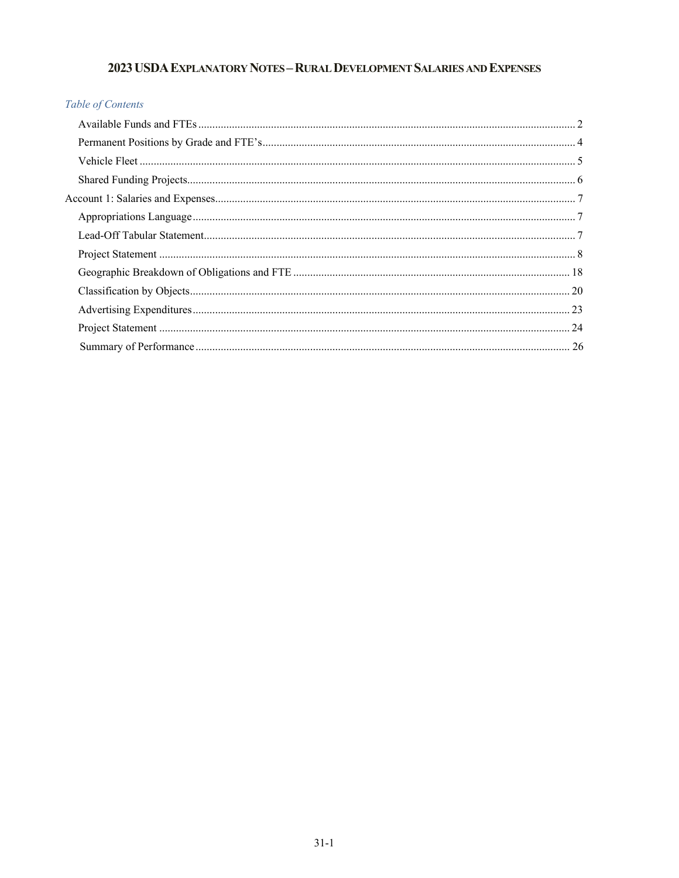# 2023 USDA EXPLANATORY NOTES - RURAL DEVELOPMENT SALARIES AND EXPENSES

# Table of Contents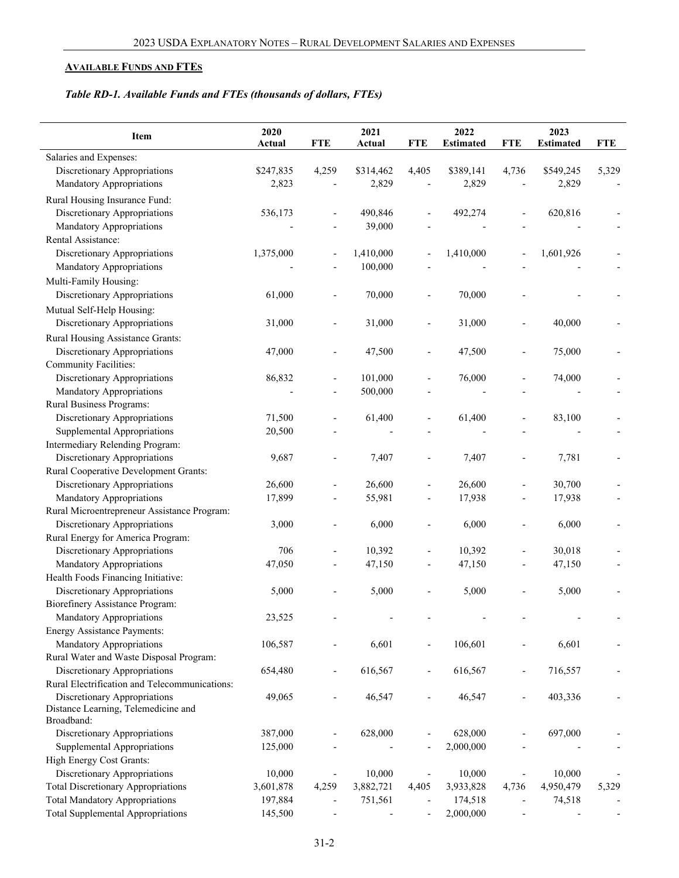# <span id="page-1-0"></span>**AVAILABLE FUNDS AND FTES**

# *Table RD-1. Available Funds and FTEs (thousands of dollars, FTEs)*

| Item                                              | 2020<br>Actual | <b>FTE</b>     | 2021<br>Actual | <b>FTE</b>               | 2022<br><b>Estimated</b> | <b>FTE</b>     | 2023<br><b>Estimated</b> | <b>FTE</b> |
|---------------------------------------------------|----------------|----------------|----------------|--------------------------|--------------------------|----------------|--------------------------|------------|
| Salaries and Expenses:                            |                |                |                |                          |                          |                |                          |            |
| Discretionary Appropriations                      | \$247,835      | 4,259          | \$314,462      | 4,405                    | \$389,141                | 4,736          | \$549,245                | 5,329      |
| Mandatory Appropriations                          | 2,823          |                | 2,829          |                          | 2,829                    |                | 2,829                    |            |
| Rural Housing Insurance Fund:                     |                |                |                |                          |                          |                |                          |            |
| Discretionary Appropriations                      | 536,173        |                |                |                          | 492,274                  |                | 620,816                  |            |
| Mandatory Appropriations                          |                |                | 490,846        |                          |                          |                |                          |            |
| Rental Assistance:                                |                |                | 39,000         |                          |                          |                |                          |            |
| Discretionary Appropriations                      | 1,375,000      |                | 1,410,000      |                          | 1,410,000                |                | 1,601,926                |            |
| <b>Mandatory Appropriations</b>                   |                |                | 100,000        |                          |                          |                |                          |            |
|                                                   |                |                |                |                          |                          |                |                          |            |
| Multi-Family Housing:                             |                |                |                |                          |                          |                |                          |            |
| Discretionary Appropriations                      | 61,000         |                | 70,000         |                          | 70,000                   |                |                          |            |
| Mutual Self-Help Housing:                         |                |                |                |                          |                          |                |                          |            |
| Discretionary Appropriations                      | 31,000         |                | 31,000         |                          | 31,000                   |                | 40,000                   |            |
| Rural Housing Assistance Grants:                  |                |                |                |                          |                          |                |                          |            |
| Discretionary Appropriations                      | 47,000         | $\overline{a}$ | 47,500         | $\overline{a}$           | 47,500                   |                | 75,000                   |            |
| <b>Community Facilities:</b>                      |                |                |                |                          |                          |                |                          |            |
| Discretionary Appropriations                      | 86,832         | $\overline{a}$ | 101,000        | ÷,                       | 76,000                   |                | 74,000                   |            |
| Mandatory Appropriations                          |                | $\overline{a}$ | 500,000        |                          |                          |                |                          |            |
| Rural Business Programs:                          |                |                |                |                          |                          |                |                          |            |
| Discretionary Appropriations                      | 71,500         | L,             | 61,400         | $\overline{\phantom{a}}$ | 61,400                   |                | 83,100                   |            |
| Supplemental Appropriations                       | 20,500         |                |                |                          |                          |                |                          |            |
| Intermediary Relending Program:                   |                |                |                |                          |                          |                |                          |            |
| Discretionary Appropriations                      | 9,687          | $\overline{a}$ | 7,407          | $\overline{a}$           | 7,407                    |                | 7,781                    |            |
| Rural Cooperative Development Grants:             |                |                |                |                          |                          |                |                          |            |
| Discretionary Appropriations                      | 26,600         | $\overline{a}$ | 26,600         | $\overline{a}$           | 26,600                   |                | 30,700                   |            |
| Mandatory Appropriations                          | 17,899         |                | 55,981         |                          | 17,938                   |                | 17,938                   |            |
| Rural Microentrepreneur Assistance Program:       |                |                |                |                          |                          |                |                          |            |
| Discretionary Appropriations                      | 3,000          | $\overline{a}$ | 6,000          | $\overline{\phantom{a}}$ | 6,000                    |                | 6,000                    |            |
| Rural Energy for America Program:                 |                |                |                |                          |                          |                |                          |            |
| Discretionary Appropriations                      | 706            | L,             | 10,392         | ÷,                       | 10,392                   |                | 30,018                   |            |
| Mandatory Appropriations                          | 47,050         | $\overline{a}$ | 47,150         | $\overline{a}$           | 47,150                   |                | 47,150                   |            |
| Health Foods Financing Initiative:                |                |                |                |                          |                          |                |                          |            |
| Discretionary Appropriations                      | 5,000          |                | 5,000          | $\overline{a}$           | 5,000                    |                | 5,000                    |            |
| <b>Biorefinery Assistance Program:</b>            |                |                |                |                          |                          |                |                          |            |
| Mandatory Appropriations                          | 23,525         |                |                |                          |                          |                |                          |            |
| <b>Energy Assistance Payments:</b>                |                |                |                |                          |                          |                |                          |            |
| Mandatory Appropriations                          | 106,587        |                | 6,601          |                          | 106,601                  |                | 6,601                    |            |
| Rural Water and Waste Disposal Program:           |                |                |                |                          |                          |                |                          |            |
| Discretionary Appropriations                      | 654,480        | $\overline{a}$ | 616,567        | $\overline{a}$           | 616,567                  | $\overline{a}$ | 716,557                  |            |
| Rural Electrification and Telecommunications:     |                |                |                |                          |                          |                |                          |            |
| Discretionary Appropriations                      | 49,065         |                | 46,547         |                          | 46,547                   |                | 403,336                  |            |
| Distance Learning, Telemedicine and<br>Broadband: |                |                |                |                          |                          |                |                          |            |
| Discretionary Appropriations                      | 387,000        |                | 628,000        |                          | 628,000                  |                | 697,000                  |            |
| Supplemental Appropriations                       | 125,000        |                |                |                          | 2,000,000                |                |                          |            |
| High Energy Cost Grants:                          |                |                |                |                          |                          |                |                          |            |
| Discretionary Appropriations                      | 10,000         |                | 10,000         | $\overline{a}$           | 10,000                   |                | 10,000                   |            |
| <b>Total Discretionary Appropriations</b>         | 3,601,878      | 4,259          | 3,882,721      | 4,405                    | 3,933,828                | 4,736          | 4,950,479                | 5,329      |
| <b>Total Mandatory Appropriations</b>             | 197,884        |                | 751,561        |                          | 174,518                  |                | 74,518                   |            |
| <b>Total Supplemental Appropriations</b>          | 145,500        |                |                |                          | 2,000,000                |                |                          |            |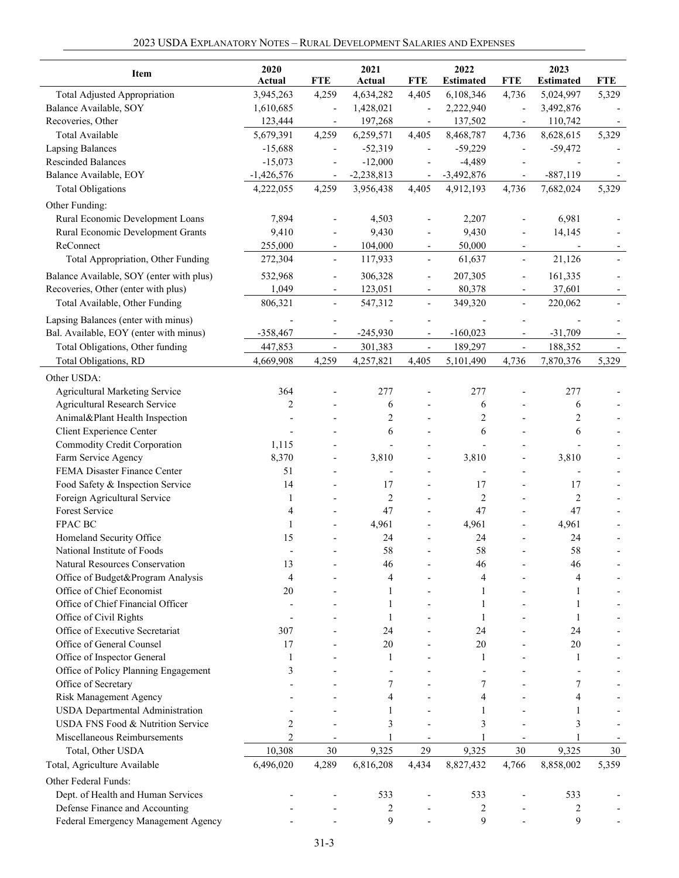|  |  | 2023 USDA Explanatory Notes – Rural Development Salaries and Expenses |  |  |  |  |  |  |  |
|--|--|-----------------------------------------------------------------------|--|--|--|--|--|--|--|
|--|--|-----------------------------------------------------------------------|--|--|--|--|--|--|--|

| <b>Item</b>                              | 2020         |                              | 2021                     |                          | 2022             |                          | 2023             |            |
|------------------------------------------|--------------|------------------------------|--------------------------|--------------------------|------------------|--------------------------|------------------|------------|
|                                          | Actual       | <b>FTE</b>                   | Actual                   | <b>FTE</b>               | <b>Estimated</b> | <b>FTE</b>               | <b>Estimated</b> | <b>FTE</b> |
| <b>Total Adjusted Appropriation</b>      | 3,945,263    | 4,259                        | 4,634,282                | 4,405                    | 6,108,346        | 4,736                    | 5,024,997        | 5,329      |
| Balance Available, SOY                   | 1,610,685    | $\overline{\phantom{m}}$     | 1,428,021                | $\overline{a}$           | 2,222,940        |                          | 3,492,876        |            |
| Recoveries, Other                        | 123,444      | $\overline{\phantom{a}}$     | 197,268                  | $\overline{\phantom{a}}$ | 137,502          |                          | 110,742          |            |
| Total Available                          | 5,679,391    | 4,259                        | 6,259,571                | 4,405                    | 8,468,787        | 4,736                    | 8,628,615        | 5,329      |
| <b>Lapsing Balances</b>                  | $-15,688$    |                              | $-52,319$                |                          | $-59,229$        |                          | $-59,472$        |            |
| <b>Rescinded Balances</b>                | $-15,073$    |                              | $-12,000$                |                          | $-4,489$         |                          |                  |            |
| Balance Available, EOY                   | $-1,426,576$ |                              | $-2,238,813$             |                          | $-3,492,876$     |                          | $-887,119$       |            |
| <b>Total Obligations</b>                 | 4,222,055    | 4,259                        | 3,956,438                | 4,405                    | 4,912,193        | 4,736                    | 7,682,024        | 5,329      |
| Other Funding:                           |              |                              |                          |                          |                  |                          |                  |            |
| Rural Economic Development Loans         | 7,894        |                              | 4,503                    |                          | 2,207            |                          | 6,981            |            |
| Rural Economic Development Grants        | 9,410        |                              | 9,430                    |                          | 9,430            |                          | 14,145           |            |
| ReConnect                                | 255,000      | L,                           | 104,000                  | L,                       | 50,000           | $\overline{\phantom{a}}$ |                  |            |
| Total Appropriation, Other Funding       | 272,304      | $\overline{\phantom{a}}$     | 117,933                  | $\frac{1}{2}$            | 61,637           | $\overline{\phantom{a}}$ | 21,126           |            |
| Balance Available, SOY (enter with plus) | 532,968      | $\overline{a}$               | 306,328                  | $\overline{a}$           | 207,305          | $\overline{\phantom{a}}$ | 161,335          |            |
| Recoveries, Other (enter with plus)      | 1,049        | $\qquad \qquad \blacksquare$ | 123,051                  |                          | 80,378           |                          | 37,601           |            |
| Total Available, Other Funding           | 806,321      | $\overline{a}$               | 547,312                  | $\overline{a}$           | 349,320          | $\overline{\phantom{a}}$ | 220,062          |            |
| Lapsing Balances (enter with minus)      |              |                              |                          |                          |                  |                          |                  |            |
| Bal. Available, EOY (enter with minus)   | $-358,467$   |                              | $-245,930$               |                          | $-160,023$       |                          | $-31,709$        |            |
| Total Obligations, Other funding         | 447,853      | $\frac{1}{2}$                | 301,383                  | $\frac{1}{2}$            | 189,297          | $\overline{\phantom{a}}$ | 188,352          |            |
| <b>Total Obligations, RD</b>             | 4,669,908    | 4,259                        | 4,257,821                | 4,405                    | 5,101,490        | 4,736                    | 7,870,376        | 5,329      |
|                                          |              |                              |                          |                          |                  |                          |                  |            |
| Other USDA:                              |              |                              |                          |                          |                  |                          |                  |            |
| Agricultural Marketing Service           | 364          |                              | 277                      |                          | 277              |                          | 277              |            |
| Agricultural Research Service            | 2            |                              | 6                        |                          | 6                |                          | 6                |            |
| Animal&Plant Health Inspection           |              |                              | 2                        |                          | 2                |                          | 2                |            |
| Client Experience Center                 |              |                              | 6                        |                          | 6                |                          | 6                |            |
| Commodity Credit Corporation             | 1,115        |                              | $\overline{\phantom{a}}$ |                          | ÷,               |                          |                  |            |
| Farm Service Agency                      | 8,370        | $\overline{\phantom{a}}$     | 3,810                    | $\overline{\phantom{a}}$ | 3,810            |                          | 3,810            |            |
| FEMA Disaster Finance Center             | 51           |                              |                          |                          | $\overline{a}$   |                          |                  |            |
| Food Safety & Inspection Service         | 14           |                              | 17                       |                          | 17               |                          | 17               |            |
| Foreign Agricultural Service             | 1            |                              | 2                        |                          | $\overline{2}$   |                          | 2                |            |
| Forest Service                           | 4            |                              | 47                       |                          | 47               |                          | 47               |            |
| FPAC BC                                  | 1            |                              | 4,961                    |                          | 4,961            |                          | 4,961            |            |
| Homeland Security Office                 | 15           |                              | 24                       |                          | 24               |                          | 24               |            |
| National Institute of Foods              |              |                              | 58                       |                          | 58               |                          | 58               |            |
| Natural Resources Conservation           | 13           |                              | 46                       |                          | 46               |                          | 46               |            |
| Office of Budget&Program Analysis        | 4            |                              | 4                        |                          | 4                |                          | 4                |            |
| Office of Chief Economist                | 20           |                              | 1                        |                          | 1                |                          | 1                |            |
| Office of Chief Financial Officer        |              |                              | 1                        |                          | 1                |                          | 1                |            |
| Office of Civil Rights                   |              |                              | 1                        |                          | 1                |                          | 1                |            |
| Office of Executive Secretariat          | 307          |                              | 24                       |                          | 24               |                          | 24               |            |
| Office of General Counsel                | 17           |                              | 20                       |                          | 20               |                          | 20               |            |
| Office of Inspector General              |              |                              | 1                        |                          | 1                |                          | 1                |            |
| Office of Policy Planning Engagement     | 3            |                              |                          |                          |                  |                          |                  |            |
| Office of Secretary                      |              |                              | 7                        |                          | 7                |                          | 7                |            |
| <b>Risk Management Agency</b>            |              |                              | 4                        |                          | 4                |                          | 4                |            |
| <b>USDA</b> Departmental Administration  |              |                              |                          |                          |                  |                          |                  |            |
| USDA FNS Food & Nutrition Service        | 2            |                              | 3                        |                          | 3                |                          | 3                |            |
| Miscellaneous Reimbursements             | 2            |                              |                          |                          |                  |                          |                  |            |
| Total, Other USDA                        | 10,308       | 30                           | 9,325                    | 29                       | 9,325            | 30                       | 9,325            | 30         |
| Total, Agriculture Available             | 6,496,020    | 4,289                        | 6,816,208                | 4,434                    | 8,827,432        | 4,766                    | 8,858,002        | 5,359      |
| Other Federal Funds:                     |              |                              |                          |                          |                  |                          |                  |            |
| Dept. of Health and Human Services       |              |                              | 533                      |                          | 533              |                          | 533              |            |
| Defense Finance and Accounting           |              |                              | 2                        |                          | 2                |                          | 2                |            |
| Federal Emergency Management Agency      |              |                              | 9                        |                          | 9                |                          | 9                |            |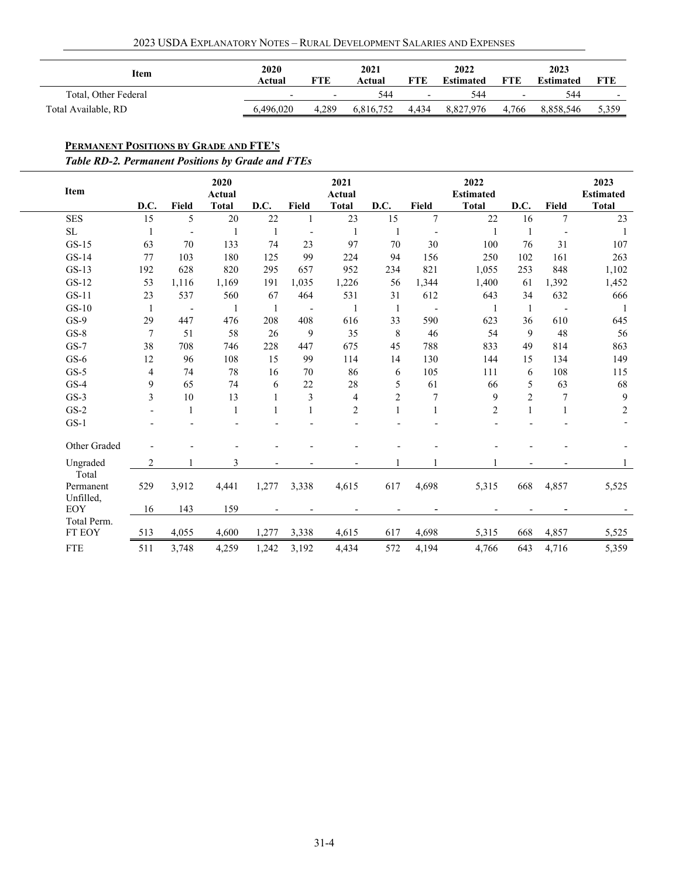| 2023 USDA Explanatory Notes - Rural Development Salaries and Expenses |  |  |  |  |  |  |  |  |  |  |  |  |
|-----------------------------------------------------------------------|--|--|--|--|--|--|--|--|--|--|--|--|
|-----------------------------------------------------------------------|--|--|--|--|--|--|--|--|--|--|--|--|

| Item                 | 2020                     |                          | 2021      |                          | 2022             |                          | 2023             |                          |
|----------------------|--------------------------|--------------------------|-----------|--------------------------|------------------|--------------------------|------------------|--------------------------|
|                      | Actual                   | FTE                      | Actual    | <b>FTE</b>               | <b>Estimated</b> | <b>FTE</b>               | <b>Estimated</b> | FTE                      |
| Total, Other Federal | $\overline{\phantom{a}}$ | $\overline{\phantom{0}}$ | 544       | $\overline{\phantom{a}}$ | 544              | $\overline{\phantom{a}}$ | 544              | $\overline{\phantom{0}}$ |
| Total Available, RD  | 6.496.020                | 4.289                    | 6.816.752 | 4,434                    | 8,827,976        | 4.766                    | 8.858.546        | 5,359                    |

# <span id="page-3-0"></span>**PERMANENT POSITIONS BY GRADE AND FTE'S**

*Table RD-2. Permanent Positions by Grade and FTEs*

| Item                            | D.C. | Field          | 2020<br><b>Actual</b><br><b>Total</b> | D.C.                     | <b>Field</b>             | 2021<br><b>Actual</b><br><b>Total</b> | D.C.                     | Field                    | 2022<br><b>Estimated</b><br><b>Total</b> | D.C.           | Field                    | 2023<br><b>Estimated</b><br><b>Total</b> |
|---------------------------------|------|----------------|---------------------------------------|--------------------------|--------------------------|---------------------------------------|--------------------------|--------------------------|------------------------------------------|----------------|--------------------------|------------------------------------------|
| <b>SES</b>                      | 15   | 5              | 20                                    | 22                       |                          | 23                                    | 15                       | 7                        | 22                                       | 16             | 7                        | 23                                       |
| SL                              |      | $\overline{a}$ |                                       | 1                        | $\overline{a}$           |                                       |                          |                          |                                          | $\mathbf{1}$   |                          | 1                                        |
| $GS-15$                         | 63   | 70             | 133                                   | 74                       | 23                       | 97                                    | 70                       | 30                       | 100                                      | 76             | 31                       | 107                                      |
| $GS-14$                         | 77   | 103            | 180                                   | 125                      | 99                       | 224                                   | 94                       | 156                      | 250                                      | 102            | 161                      | 263                                      |
| $GS-13$                         | 192  | 628            | 820                                   | 295                      | 657                      | 952                                   | 234                      | 821                      | 1,055                                    | 253            | 848                      | 1,102                                    |
| $GS-12$                         | 53   | 1,116          | 1,169                                 | 191                      | 1,035                    | 1,226                                 | 56                       | 1,344                    | 1,400                                    | 61             | 1,392                    | 1,452                                    |
| $GS-11$                         | 23   | 537            | 560                                   | 67                       | 464                      | 531                                   | 31                       | 612                      | 643                                      | 34             | 632                      | 666                                      |
| $GS-10$                         | 1    | $\overline{a}$ | $\mathbf{1}$                          | 1                        | $\overline{\phantom{a}}$ |                                       | 1                        | $\overline{\phantom{a}}$ | $\mathbf{1}$                             | 1              | $\overline{\phantom{a}}$ | -1                                       |
| $GS-9$                          | 29   | 447            | 476                                   | 208                      | 408                      | 616                                   | 33                       | 590                      | 623                                      | 36             | 610                      | 645                                      |
| $GS-8$                          | 7    | 51             | 58                                    | 26                       | 9                        | 35                                    | 8                        | 46                       | 54                                       | 9              | 48                       | 56                                       |
| $GS-7$                          | 38   | 708            | 746                                   | 228                      | 447                      | 675                                   | 45                       | 788                      | 833                                      | 49             | 814                      | 863                                      |
| $GS-6$                          | 12   | 96             | 108                                   | 15                       | 99                       | 114                                   | 14                       | 130                      | 144                                      | 15             | 134                      | 149                                      |
| $GS-5$                          | 4    | 74             | 78                                    | 16                       | 70                       | 86                                    | 6                        | 105                      | 111                                      | 6              | 108                      | 115                                      |
| $GS-4$                          | 9    | 65             | 74                                    | 6                        | 22                       | 28                                    | 5                        | 61                       | 66                                       | 5              | 63                       | 68                                       |
| $GS-3$                          | 3    | 10             | 13                                    |                          | 3                        | $\overline{4}$                        | $\overline{c}$           | 7                        | 9                                        | $\overline{c}$ | $\boldsymbol{7}$         | $\overline{9}$                           |
| $GS-2$                          |      | 1              | 1                                     |                          |                          | $\overline{c}$                        | 1                        | $\mathbf{1}$             | $\overline{c}$                           | 1              | 1                        | $\overline{c}$                           |
| $GS-1$                          |      |                |                                       |                          |                          |                                       |                          |                          |                                          |                |                          |                                          |
| Other Graded                    |      |                |                                       |                          |                          |                                       |                          |                          |                                          |                |                          |                                          |
| Ungraded                        | 2    |                | 3                                     | $\overline{\phantom{0}}$ |                          | $\overline{\phantom{a}}$              |                          |                          |                                          |                |                          |                                          |
| Total<br>Permanent<br>Unfilled, | 529  | 3,912          | 4,441                                 | 1,277                    | 3,338                    | 4,615                                 | 617                      | 4,698                    | 5,315                                    | 668            | 4,857                    | 5,525                                    |
| EOY                             | 16   | 143            | 159                                   |                          |                          |                                       | $\overline{\phantom{a}}$ | $\overline{\phantom{a}}$ |                                          |                |                          |                                          |
| Total Perm.                     |      |                |                                       |                          |                          |                                       |                          |                          |                                          |                |                          |                                          |
| FT EOY                          | 513  | 4,055          | 4,600                                 | 1,277                    | 3,338                    | 4,615                                 | 617                      | 4,698                    | 5,315                                    | 668            | 4,857                    | 5,525                                    |
| <b>FTE</b>                      | 511  | 3,748          | 4,259                                 | 1,242                    | 3,192                    | 4,434                                 | 572                      | 4,194                    | 4,766                                    | 643            | 4,716                    | 5,359                                    |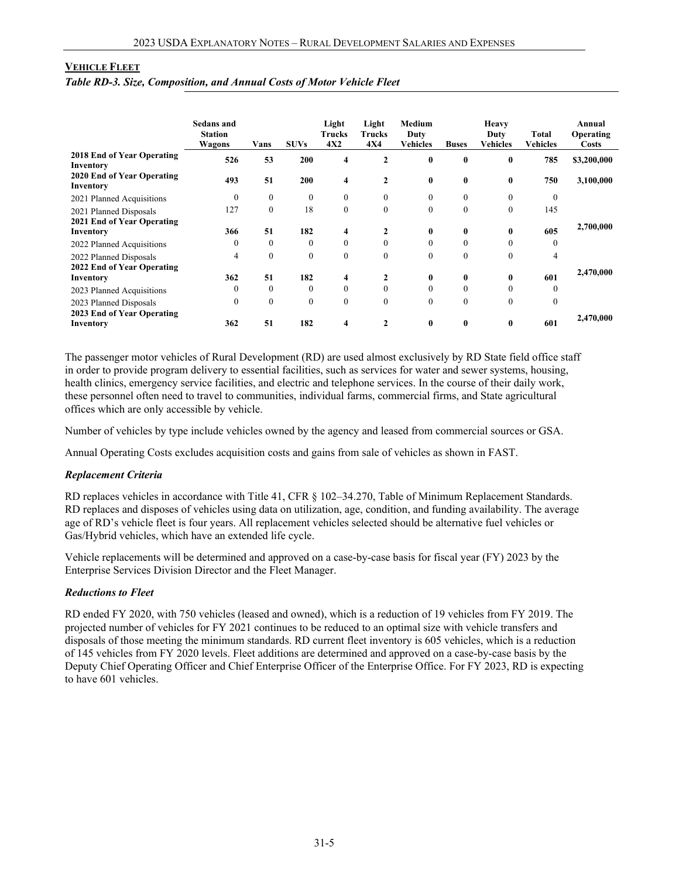#### <span id="page-4-0"></span>**VEHICLE FLEET**

*Table RD-3. Size, Composition, and Annual Costs of Motor Vehicle Fleet* 

|                                                      | <b>Sedans and</b><br><b>Station</b><br>Wagons | Vans     | <b>SUVs</b>  | Light<br>Trucks<br>4X2 | Light<br>Trucks<br><b>4X4</b> | Medium<br>Duty<br>Vehicles | <b>Buses</b> | Heavy<br>Duty<br>Vehicles | <b>Total</b><br><b>Vehicles</b> | Annual<br>Operating<br><b>Costs</b> |
|------------------------------------------------------|-----------------------------------------------|----------|--------------|------------------------|-------------------------------|----------------------------|--------------|---------------------------|---------------------------------|-------------------------------------|
| 2018 End of Year Operating<br>Inventory              | 526                                           | 53       | 200          | 4                      | $\mathbf{2}$                  | $\bf{0}$                   | $\bf{0}$     | $\bf{0}$                  | 785                             | \$3,200,000                         |
| 2020 End of Year Operating<br>Inventory              | 493                                           | 51       | 200          | 4                      | $\overline{2}$                | $\bf{0}$                   | $\bf{0}$     | $\bf{0}$                  | 750                             | 3,100,000                           |
| 2021 Planned Acquisitions                            | $\theta$                                      | $\theta$ | $\mathbf{0}$ | $\Omega$               | $\theta$                      | $\theta$                   | $\mathbf{0}$ | $\mathbf{0}$              | $\mathbf{0}$                    |                                     |
| 2021 Planned Disposals<br>2021 End of Year Operating | 127                                           | $\theta$ | 18           | $\Omega$               | $\theta$                      | $\mathbf{0}$               | $\mathbf{0}$ | $\mathbf{0}$              | 145                             |                                     |
| Inventory                                            | 366                                           | 51       | 182          | 4                      | 2                             | $\bf{0}$                   | $\bf{0}$     | $\bf{0}$                  | 605                             | 2,700,000                           |
| 2022 Planned Acquisitions                            | $\theta$                                      | $\theta$ | $\theta$     | $\Omega$               | $\theta$                      | $\theta$                   | $\theta$     | $\theta$                  | $\theta$                        |                                     |
| 2022 Planned Disposals<br>2022 End of Year Operating | 4                                             | $\theta$ | $\theta$     | $\theta$               | $\theta$                      | $\theta$                   | $\mathbf{0}$ | $\mathbf{0}$              | 4                               |                                     |
| Inventory                                            | 362                                           | 51       | 182          | 4                      | 2                             | $\bf{0}$                   | $\bf{0}$     | $\bf{0}$                  | 601                             | 2,470,000                           |
| 2023 Planned Acquisitions                            | $\theta$                                      | $\theta$ | $\theta$     | $\Omega$               | $\theta$                      | $\theta$                   | $\mathbf{0}$ | $\mathbf{0}$              | $\theta$                        |                                     |
| 2023 Planned Disposals<br>2023 End of Year Operating | $\theta$                                      | $\theta$ | $\mathbf{0}$ | $\theta$               | $\theta$                      | $\theta$                   | $\mathbf{0}$ | $\theta$                  | $\Omega$                        | 2,470,000                           |
| Inventory                                            | 362                                           | 51       | 182          | 4                      | $\mathbf{2}$                  | $\bf{0}$                   | $\bf{0}$     | $\bf{0}$                  | 601                             |                                     |

The passenger motor vehicles of Rural Development (RD) are used almost exclusively by RD State field office staff in order to provide program delivery to essential facilities, such as services for water and sewer systems, housing, health clinics, emergency service facilities, and electric and telephone services. In the course of their daily work, these personnel often need to travel to communities, individual farms, commercial firms, and State agricultural offices which are only accessible by vehicle.

Number of vehicles by type include vehicles owned by the agency and leased from commercial sources or GSA.

Annual Operating Costs excludes acquisition costs and gains from sale of vehicles as shown in FAST.

#### *Replacement Criteria*

RD replaces vehicles in accordance with Title 41, CFR § 102–34.270, Table of Minimum Replacement Standards. RD replaces and disposes of vehicles using data on utilization, age, condition, and funding availability. The average age of RD's vehicle fleet is four years. All replacement vehicles selected should be alternative fuel vehicles or Gas/Hybrid vehicles, which have an extended life cycle.

Vehicle replacements will be determined and approved on a case-by-case basis for fiscal year (FY) 2023 by the Enterprise Services Division Director and the Fleet Manager.

#### *Reductions to Fleet*

RD ended FY 2020, with 750 vehicles (leased and owned), which is a reduction of 19 vehicles from FY 2019. The projected number of vehicles for FY 2021 continues to be reduced to an optimal size with vehicle transfers and disposals of those meeting the minimum standards. RD current fleet inventory is 605 vehicles, which is a reduction of 145 vehicles from FY 2020 levels. Fleet additions are determined and approved on a case-by-case basis by the Deputy Chief Operating Officer and Chief Enterprise Officer of the Enterprise Office. For FY 2023, RD is expecting to have 601 vehicles.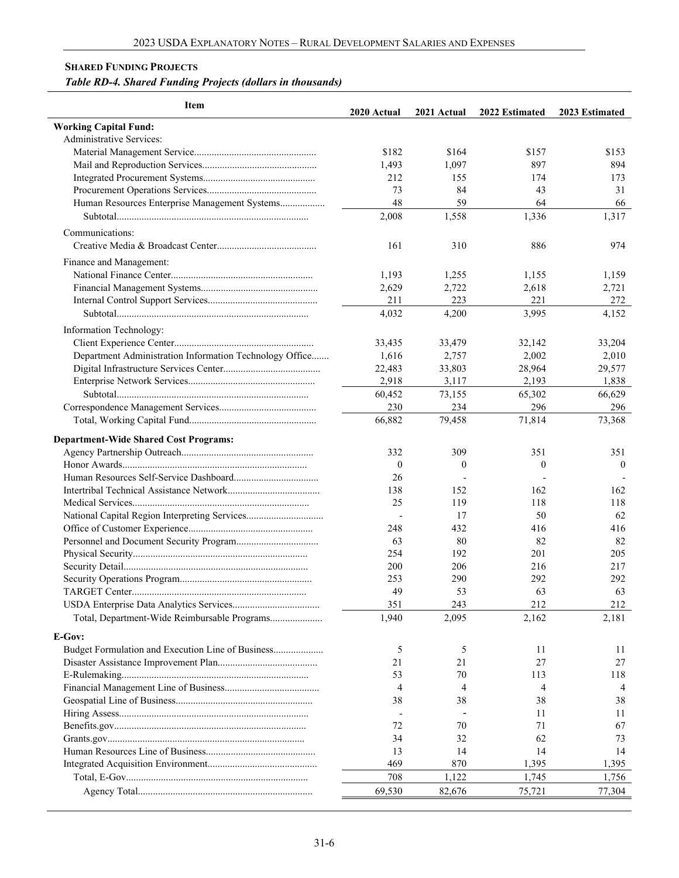### <span id="page-5-0"></span>**SHARED FUNDING PROJECTS**

# *Table RD-4. Shared Funding Projects (dollars in thousands)*

| Item                                                    | 2020 Actual  | 2021 Actual  | 2022 Estimated | 2023 Estimated |
|---------------------------------------------------------|--------------|--------------|----------------|----------------|
| <b>Working Capital Fund:</b>                            |              |              |                |                |
| Administrative Services:                                |              |              |                |                |
|                                                         | \$182        | \$164        | \$157          | \$153          |
|                                                         | 1,493        | 1,097        | 897            | 894            |
|                                                         | 212          | 155          | 174            | 173            |
|                                                         | 73           | 84           | 43             | 31             |
| Human Resources Enterprise Management Systems           | 48           | 59           | 64             | 66             |
|                                                         | 2,008        | 1,558        | 1,336          | 1,317          |
| Communications:                                         |              |              |                |                |
|                                                         | 161          | 310          | 886            | 974            |
| Finance and Management:                                 |              |              |                |                |
|                                                         | 1,193        | 1,255        | 1,155          | 1,159          |
|                                                         | 2,629        | 2,722        | 2,618          | 2,721          |
|                                                         | 211          | 223          | 221            | 272            |
|                                                         | 4,032        | 4,200        | 3,995          | 4,152          |
| Information Technology:                                 |              |              |                |                |
|                                                         | 33,435       | 33,479       | 32,142         | 33,204         |
| Department Administration Information Technology Office | 1,616        | 2,757        | 2,002          | 2,010          |
|                                                         | 22,483       | 33,803       | 28,964         | 29,577         |
|                                                         | 2,918        | 3,117        | 2,193          | 1,838          |
|                                                         | 60,452       | 73,155       | 65,302         | 66,629         |
|                                                         | 230          | 234          | 296            | 296            |
|                                                         | 66,882       | 79,458       | 71,814         | 73,368         |
| <b>Department-Wide Shared Cost Programs:</b>            |              |              |                |                |
|                                                         | 332          | 309          | 351            | 351            |
|                                                         | $\mathbf{0}$ | $\mathbf{0}$ | $\mathbf{0}$   | $\theta$       |
|                                                         | 26           |              |                |                |
|                                                         | 138          | 152          | 162            | 162            |
|                                                         | 25           | 119          | 118            | 118            |
|                                                         |              | 17           | 50             | 62             |
|                                                         | 248          | 432          | 416            | 416            |
|                                                         | 63           | 80           | 82             | 82             |
|                                                         | 254          | 192          | 201            | 205            |
|                                                         | 200          | 206          | 216            | 217            |
|                                                         | 253          | 290          | 292            | 292            |
|                                                         | 49           | 53           | 63             | 63             |
|                                                         | 351          | 243          | 212            | 212            |
| Total, Department-Wide Reimbursable Programs            | 1,940        | 2,095        | 2,162          | 2,181          |
| E-Gov:                                                  |              |              |                |                |
| Budget Formulation and Execution Line of Business       | 5            | 5            | 11             | 11             |
|                                                         | 21           | 21           | 27             | 27             |
|                                                         | 53           | 70           | 113            | 118            |
|                                                         | 4            | 4            | 4              | 4              |
|                                                         | 38           | 38           | 38             | 38             |
|                                                         |              |              | 11             | 11             |
|                                                         | 72           | 70           | 71             | 67             |
|                                                         | 34           | 32           | 62             | 73             |
|                                                         | 13           | 14           | 14             | 14             |
|                                                         | 469          | 870          | 1,395          | 1,395          |
|                                                         | 708          | 1,122        | 1,745          | 1,756          |
|                                                         | 69,530       | 82,676       | 75,721         | 77,304         |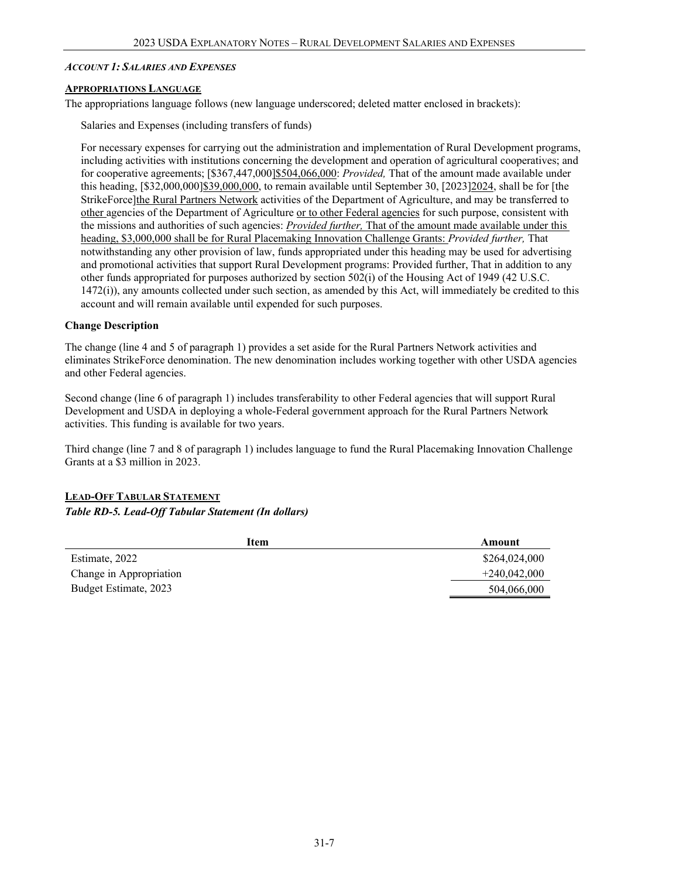#### <span id="page-6-0"></span>*ACCOUNT 1: SALARIES AND EXPENSES*

#### <span id="page-6-1"></span>**APPROPRIATIONS LANGUAGE**

The appropriations language follows (new language underscored; deleted matter enclosed in brackets):

Salaries and Expenses (including transfers of funds)

For necessary expenses for carrying out the administration and implementation of Rural Development programs, including activities with institutions concerning the development and operation of agricultural cooperatives; and for cooperative agreements; [\$367,447,000]\$504,066,000: *Provided,* That of the amount made available under this heading, [\$32,000,000]\$39,000,000, to remain available until September 30, [2023]2024, shall be for [the StrikeForce]the Rural Partners Network activities of the Department of Agriculture, and may be transferred to other agencies of the Department of Agriculture or to other Federal agencies for such purpose, consistent with the missions and authorities of such agencies: *Provided further,* That of the amount made available under this heading, \$3,000,000 shall be for Rural Placemaking Innovation Challenge Grants: *Provided further,* That notwithstanding any other provision of law, funds appropriated under this heading may be used for advertising and promotional activities that support Rural Development programs: Provided further, That in addition to any other funds appropriated for purposes authorized by section 502(i) of the Housing Act of 1949 (42 U.S.C. 1472(i)), any amounts collected under such section, as amended by this Act, will immediately be credited to this account and will remain available until expended for such purposes.

#### **Change Description**

The change (line 4 and 5 of paragraph 1) provides a set aside for the Rural Partners Network activities and eliminates StrikeForce denomination. The new denomination includes working together with other USDA agencies and other Federal agencies.

Second change (line 6 of paragraph 1) includes transferability to other Federal agencies that will support Rural Development and USDA in deploying a whole-Federal government approach for the Rural Partners Network activities. This funding is available for two years.

Third change (line 7 and 8 of paragraph 1) includes language to fund the Rural Placemaking Innovation Challenge Grants at a \$3 million in 2023.

# <span id="page-6-2"></span>**LEAD-OFF TABULAR STATEMENT**

### *Table RD-5. Lead-Off Tabular Statement (In dollars)*

| Item                    | Amount         |
|-------------------------|----------------|
| Estimate, 2022          | \$264,024,000  |
| Change in Appropriation | $+240.042.000$ |
| Budget Estimate, 2023   | 504,066,000    |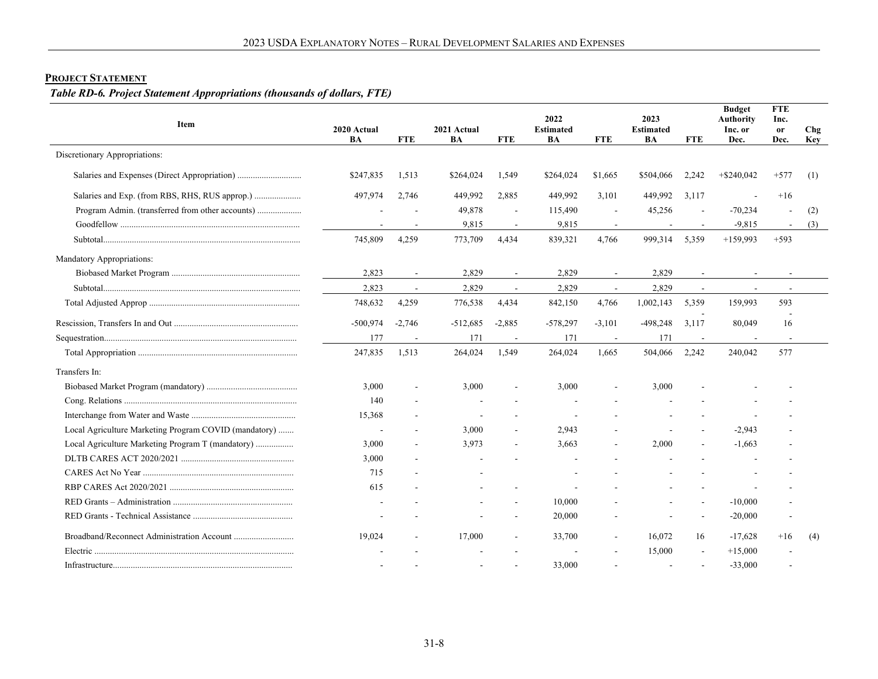# **PROJECT STATEMENT**

# *Table RD-6. Project Statement Appropriations (thousands of dollars, FTE)*

<span id="page-7-0"></span>

| Item                                                  | 2020 Actual<br>BA | <b>FTE</b>               | 2021 Actual<br>BA | <b>FTE</b>               | 2022<br><b>Estimated</b><br>BA | <b>FTE</b>               | 2023<br><b>Estimated</b><br>BA | <b>FTE</b> | <b>Budget</b><br><b>Authority</b><br>Inc. or<br>Dec. | <b>FTE</b><br>Inc.<br>or<br>Dec. | Chg<br>Key |
|-------------------------------------------------------|-------------------|--------------------------|-------------------|--------------------------|--------------------------------|--------------------------|--------------------------------|------------|------------------------------------------------------|----------------------------------|------------|
| Discretionary Appropriations:                         |                   |                          |                   |                          |                                |                          |                                |            |                                                      |                                  |            |
|                                                       | \$247,835         | 1,513                    | \$264,024         | 1,549                    | \$264,024                      | \$1,665                  | \$504,066                      | 2,242      | $+$ \$240,042                                        | $+577$                           | (1)        |
| Salaries and Exp. (from RBS, RHS, RUS approp.)        | 497,974           | 2,746                    | 449,992           | 2,885                    | 449,992                        | 3,101                    | 449,992                        | 3,117      |                                                      | $+16$                            |            |
| Program Admin. (transferred from other accounts)      |                   |                          | 49,878            | $\sim$                   | 115,490                        | $\overline{\phantom{a}}$ | 45,256                         |            | $-70,234$                                            |                                  | (2)        |
|                                                       |                   |                          | 9,815             | $\blacksquare$           | 9,815                          | $\blacksquare$           |                                |            | $-9,815$                                             | $\overline{\phantom{a}}$         | (3)        |
|                                                       | 745,809           | 4,259                    | 773,709           | 4,434                    | 839,321                        | 4,766                    | 999,314                        | 5,359      | $+159,993$                                           | $+593$                           |            |
| Mandatory Appropriations:                             |                   |                          |                   |                          |                                |                          |                                |            |                                                      |                                  |            |
|                                                       | 2,823             | $\overline{\phantom{a}}$ | 2,829             | $\overline{\phantom{a}}$ | 2,829                          | $\blacksquare$           | 2,829                          |            |                                                      |                                  |            |
|                                                       | 2,823             | $\sim$                   | 2,829             | $\sim$                   | 2,829                          | $\sim$                   | 2,829                          | $\sim$     | $\sim$                                               | $\sim$                           |            |
|                                                       | 748,632           | 4,259                    | 776,538           | 4,434                    | 842,150                        | 4,766                    | 1,002,143                      | 5,359      | 159,993                                              | 593                              |            |
|                                                       | $-500,974$        | $-2,746$                 | $-512,685$        | $-2,885$                 | $-578,297$                     | $-3,101$                 | $-498,248$                     | 3,117      | 80,049                                               | 16                               |            |
|                                                       | 177               | $\overline{\phantom{a}}$ | 171               | $\overline{\phantom{a}}$ | 171                            | $\blacksquare$           | 171                            |            |                                                      | $\sim$                           |            |
|                                                       | 247,835           | 1,513                    | 264,024           | 1,549                    | 264,024                        | 1,665                    | 504,066                        | 2,242      | 240,042                                              | 577                              |            |
| Transfers In:                                         |                   |                          |                   |                          |                                |                          |                                |            |                                                      |                                  |            |
|                                                       | 3,000             |                          | 3,000             |                          | 3,000                          |                          | 3,000                          |            |                                                      |                                  |            |
|                                                       | 140               |                          |                   |                          |                                |                          |                                |            |                                                      |                                  |            |
|                                                       | 15,368            |                          |                   |                          |                                |                          |                                |            |                                                      |                                  |            |
| Local Agriculture Marketing Program COVID (mandatory) |                   |                          | 3,000             |                          | 2,943                          |                          |                                |            | $-2,943$                                             |                                  |            |
| Local Agriculture Marketing Program T (mandatory)     | 3,000             |                          | 3,973             |                          | 3,663                          |                          | 2,000                          |            | $-1,663$                                             |                                  |            |
|                                                       | 3.000             |                          |                   |                          |                                |                          |                                |            |                                                      |                                  |            |
|                                                       | 715               |                          |                   |                          |                                |                          |                                |            |                                                      |                                  |            |
|                                                       | 615               |                          |                   |                          |                                |                          |                                |            |                                                      |                                  |            |
|                                                       |                   |                          |                   |                          | 10,000                         |                          |                                |            | $-10,000$                                            |                                  |            |
|                                                       |                   |                          |                   |                          | 20,000                         |                          |                                |            | $-20,000$                                            |                                  |            |
|                                                       | 19,024            |                          | 17,000            | $\overline{\phantom{a}}$ | 33,700                         | $\overline{\phantom{a}}$ | 16,072                         | 16         | $-17,628$                                            | $+16$                            | (4)        |
|                                                       |                   |                          |                   |                          |                                |                          | 15,000                         |            | $+15,000$                                            |                                  |            |
|                                                       |                   |                          |                   |                          | 33,000                         |                          |                                |            | $-33,000$                                            |                                  |            |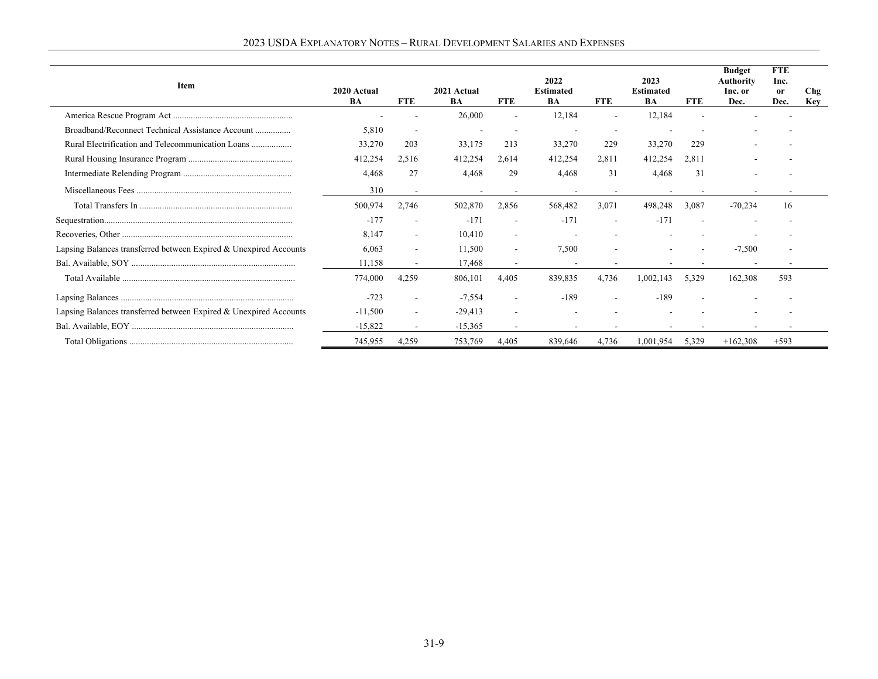| Item                                                              | 2020 Actual<br><b>BA</b> | <b>FTE</b>               | 2021 Actual<br>BA | <b>FTE</b>               | 2022<br><b>Estimated</b><br>BA | <b>FTE</b>               | 2023<br><b>Estimated</b><br>BA | <b>FTE</b> | <b>Budget</b><br><b>Authority</b><br>Inc. or<br>Dec. | <b>FTE</b><br>Inc.<br>or<br>Dec. | Chg<br><b>Key</b> |
|-------------------------------------------------------------------|--------------------------|--------------------------|-------------------|--------------------------|--------------------------------|--------------------------|--------------------------------|------------|------------------------------------------------------|----------------------------------|-------------------|
|                                                                   |                          |                          | 26,000            |                          | 12,184                         | $\overline{\phantom{a}}$ | 12,184                         |            |                                                      |                                  |                   |
| Broadband/Reconnect Technical Assistance Account                  | 5,810                    |                          |                   |                          |                                |                          |                                |            |                                                      |                                  |                   |
|                                                                   | 33,270                   | 203                      | 33,175            | 213                      | 33,270                         | 229                      | 33,270                         | 229        |                                                      |                                  |                   |
|                                                                   | 412,254                  | 2,516                    | 412,254           | 2,614                    | 412,254                        | 2,811                    | 412,254                        | 2,811      |                                                      |                                  |                   |
|                                                                   | 4.468                    | 27                       | 4.468             | 29                       | 4.468                          | 31                       | 4.468                          | 31         |                                                      |                                  |                   |
|                                                                   | 310                      |                          |                   |                          |                                |                          |                                |            |                                                      |                                  |                   |
|                                                                   | 500,974                  | 2,746                    | 502,870           | 2,856                    | 568,482                        | 3,071                    | 498,248                        | 3,087      | $-70,234$                                            | 16                               |                   |
|                                                                   | $-177$                   |                          | $-171$            |                          | $-171$                         | $\overline{\phantom{a}}$ | $-171$                         |            |                                                      |                                  |                   |
|                                                                   | 8.147                    | $\sim$                   | 10.410            | $\overline{\phantom{a}}$ |                                |                          |                                |            |                                                      |                                  |                   |
| Lapsing Balances transferred between Expired & Unexpired Accounts | 6.063                    | $\overline{\phantom{a}}$ | 11,500            | $\overline{\phantom{a}}$ | 7,500                          |                          |                                |            | $-7,500$                                             |                                  |                   |
|                                                                   | 11.158                   | $\overline{\phantom{a}}$ | 17.468            | $\sim$                   |                                |                          |                                |            |                                                      |                                  |                   |
|                                                                   | 774,000                  | 4,259                    | 806,101           | 4.405                    | 839,835                        | 4,736                    | 1,002,143                      | 5,329      | 162,308                                              | 593                              |                   |
|                                                                   | $-723$                   | $\overline{a}$           | $-7,554$          |                          | $-189$                         |                          | $-189$                         |            |                                                      |                                  |                   |
| Lapsing Balances transferred between Expired & Unexpired Accounts | $-11,500$                | $\sim$                   | $-29,413$         |                          |                                |                          |                                |            |                                                      |                                  |                   |
|                                                                   | $-15,822$                |                          | $-15,365$         |                          |                                |                          |                                |            |                                                      |                                  |                   |
|                                                                   | 745,955                  | 4,259                    | 753,769           | 4,405                    | 839,646                        | 4,736                    | 1,001,954                      | 5,329      | $+162,308$                                           | $+593$                           |                   |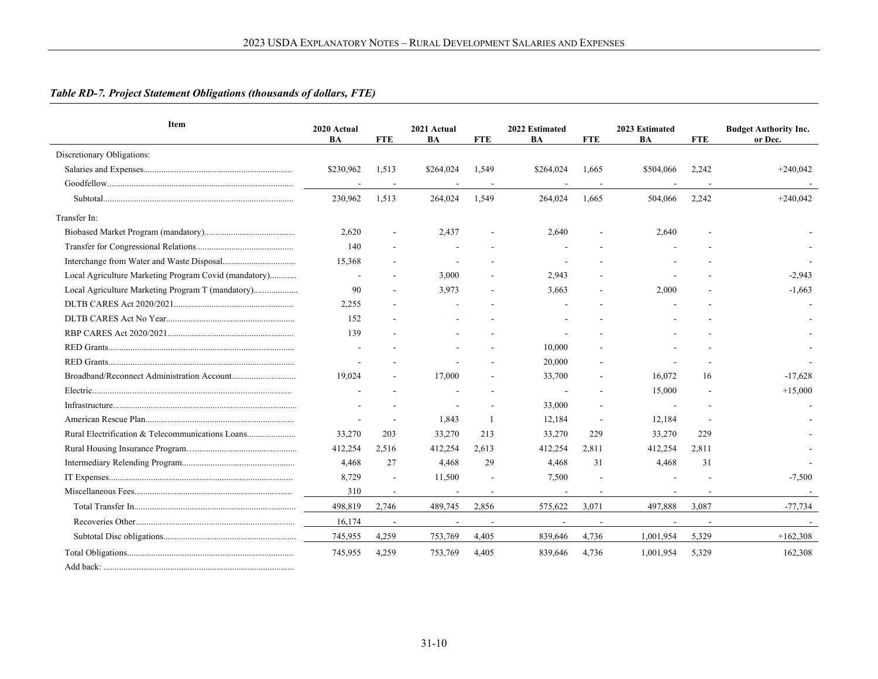# *Table RD-7. Project Statement Obligations (thousands of dollars, FTE)*

| <b>Item</b>                                           | 2020 Actual<br>BA | <b>FTE</b>               | 2021 Actual<br>BA | <b>FTE</b>               | 2022 Estimated<br>BA | <b>FTE</b> | 2023 Estimated<br>BA | <b>FTE</b> | <b>Budget Authority Inc.</b><br>or Dec. |
|-------------------------------------------------------|-------------------|--------------------------|-------------------|--------------------------|----------------------|------------|----------------------|------------|-----------------------------------------|
| Discretionary Obligations:                            |                   |                          |                   |                          |                      |            |                      |            |                                         |
|                                                       | \$230,962         | 1,513                    | \$264,024         | 1.549                    | \$264,024            | 1.665      | \$504,066            | 2,242      | $+240,042$                              |
|                                                       |                   | $\sim$                   |                   | $\overline{\phantom{a}}$ |                      |            |                      |            |                                         |
|                                                       | 230,962           | 1,513                    | 264,024           | 1,549                    | 264,024              | 1,665      | 504,066              | 2,242      | $+240,042$                              |
| Transfer In:                                          |                   |                          |                   |                          |                      |            |                      |            |                                         |
|                                                       | 2,620             |                          | 2,437             |                          | 2,640                |            | 2,640                |            |                                         |
|                                                       | 140               |                          |                   |                          |                      |            |                      |            |                                         |
|                                                       | 15,368            |                          |                   |                          |                      |            |                      |            |                                         |
| Local Agriculture Marketing Program Covid (mandatory) | $\blacksquare$    |                          | 3.000             |                          | 2,943                |            |                      |            | $-2,943$                                |
| Local Agriculture Marketing Program T (mandatory)     | 90                |                          | 3,973             |                          | 3,663                |            | 2,000                |            | $-1.663$                                |
|                                                       | 2,255             |                          |                   |                          |                      |            |                      |            |                                         |
|                                                       | 152               |                          |                   |                          |                      |            |                      |            |                                         |
|                                                       | 139               |                          |                   |                          |                      |            |                      |            |                                         |
|                                                       |                   |                          |                   |                          | 10,000               |            |                      |            |                                         |
|                                                       |                   |                          |                   |                          | 20,000               |            |                      |            |                                         |
|                                                       | 19,024            |                          | 17,000            |                          | 33,700               |            | 16,072               | 16         | $-17,628$                               |
|                                                       |                   |                          |                   |                          |                      |            | 15,000               |            | $+15,000$                               |
|                                                       |                   |                          |                   |                          | 33,000               |            |                      |            |                                         |
|                                                       |                   |                          | 1.843             |                          | 12,184               |            | 12,184               |            |                                         |
|                                                       | 33,270            | 203                      | 33,270            | 213                      | 33,270               | 229        | 33,270               | 229        |                                         |
|                                                       | 412,254           | 2,516                    | 412,254           | 2,613                    | 412,254              | 2,811      | 412,254              | 2,811      |                                         |
|                                                       | 4,468             | 27                       | 4,468             | 29                       | 4,468                | 31         | 4,468                | 31         |                                         |
|                                                       | 8,729             | $\overline{\phantom{a}}$ | 11,500            |                          | 7,500                |            |                      |            | $-7,500$                                |
|                                                       | 310               |                          |                   |                          |                      |            |                      |            |                                         |
|                                                       | 498,819           | 2,746                    | 489,745           | 2,856                    | 575,622              | 3,071      | 497,888              | 3,087      | $-77,734$                               |
|                                                       | 16,174            |                          |                   |                          |                      |            |                      |            |                                         |
|                                                       | 745,955           | 4,259                    | 753,769           | 4,405                    | 839,646              | 4,736      | 1,001,954            | 5,329      | $+162,308$                              |
|                                                       | 745,955           | 4,259                    | 753,769           | 4,405                    | 839,646              | 4,736      | 1,001,954            | 5,329      | 162,308                                 |
|                                                       |                   |                          |                   |                          |                      |            |                      |            |                                         |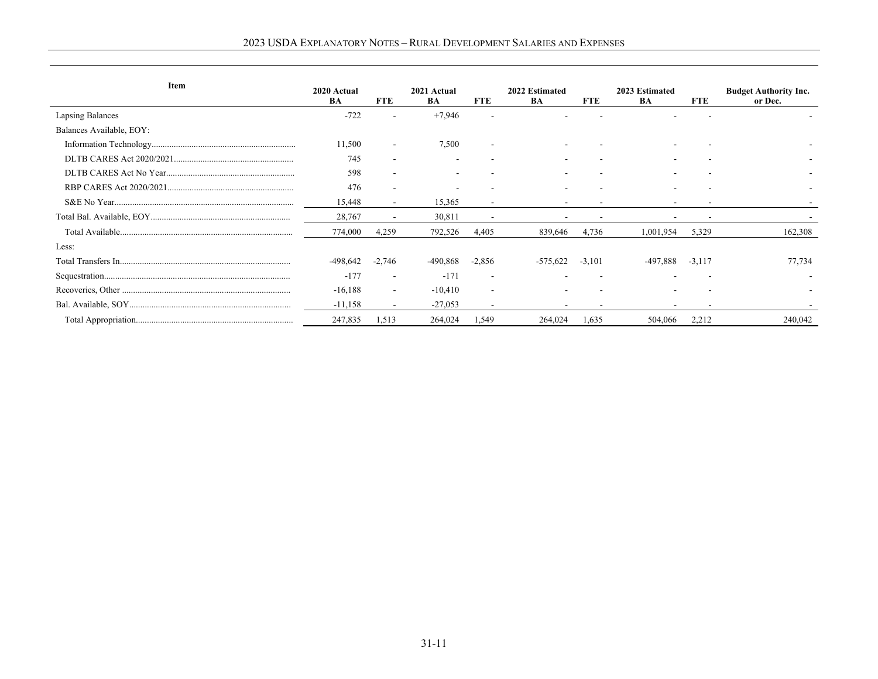| Item                     | 2020 Actual |                          | 2021 Actual |                          | 2022 Estimated |            | 2023 Estimated |            | <b>Budget Authority Inc.</b> |
|--------------------------|-------------|--------------------------|-------------|--------------------------|----------------|------------|----------------|------------|------------------------------|
|                          | <b>BA</b>   | <b>FTE</b>               | BA          | <b>FTE</b>               | BA             | <b>FTE</b> | BA             | <b>FTE</b> | or Dec.                      |
| Lapsing Balances         | $-722$      |                          | $+7,946$    |                          |                |            |                |            |                              |
| Balances Available, EOY: |             |                          |             |                          |                |            |                |            |                              |
|                          | 11,500      | $\overline{\phantom{a}}$ | 7,500       | ۰                        |                |            |                |            |                              |
|                          | 745         | ٠                        |             |                          |                |            |                |            |                              |
|                          | 598         | $\overline{\phantom{a}}$ |             |                          |                |            |                |            |                              |
|                          | 476         |                          |             |                          |                |            |                |            |                              |
|                          | 15,448      | $\overline{\phantom{a}}$ | 15,365      | $\sim$                   |                |            |                |            |                              |
|                          | 28,767      |                          | 30,811      |                          |                |            |                |            |                              |
|                          | 774,000     | 4,259                    | 792,526     | 4,405                    | 839,646        | 4,736      | 1,001,954      | 5,329      | 162,308                      |
| Less:                    |             |                          |             |                          |                |            |                |            |                              |
|                          | -498.642    | $-2,746$                 | -490.868    | $-2,856$                 | $-575.622$     | $-3.101$   | .888           | $-3.117$   | 77,734                       |
|                          | $-177$      | $\overline{\phantom{a}}$ | $-171$      | ٠                        |                |            |                |            |                              |
|                          | $-16,188$   | $\overline{\phantom{a}}$ | $-10,410$   | $\overline{\phantom{a}}$ |                |            |                |            |                              |
|                          | $-11,158$   | $\sim$                   | $-27,053$   | ۰                        |                |            |                |            |                              |
|                          | 247,835     | 1,513                    | 264,024     | 1,549                    | 264,024        | 1,635      | 504,066        | 2,212      | 240,042                      |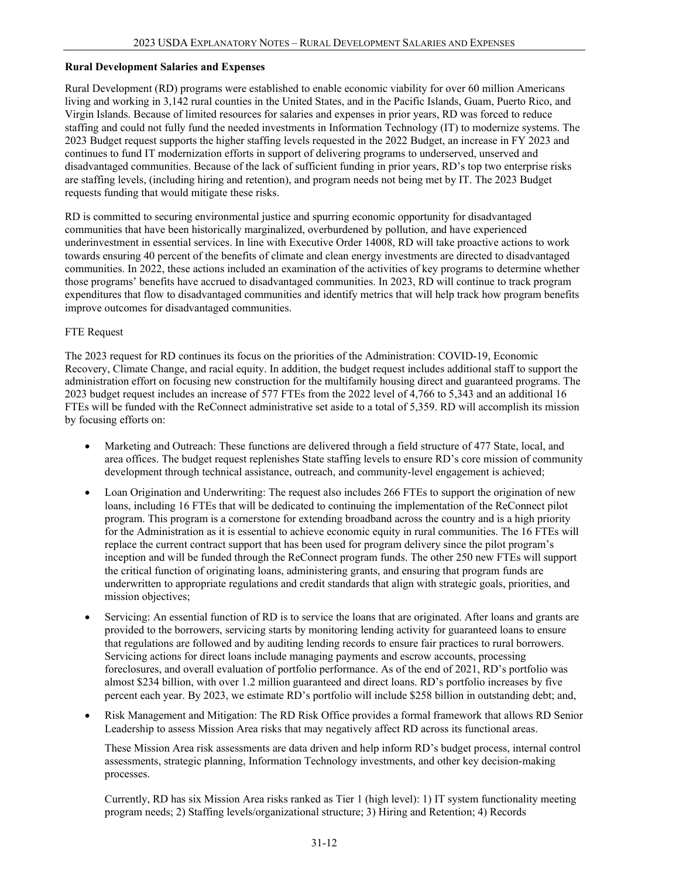#### **Rural Development Salaries and Expenses**

Rural Development (RD) programs were established to enable economic viability for over 60 million Americans living and working in 3,142 rural counties in the United States, and in the Pacific Islands, Guam, Puerto Rico, and Virgin Islands. Because of limited resources for salaries and expenses in prior years, RD was forced to reduce staffing and could not fully fund the needed investments in Information Technology (IT) to modernize systems. The 2023 Budget request supports the higher staffing levels requested in the 2022 Budget, an increase in FY 2023 and continues to fund IT modernization efforts in support of delivering programs to underserved, unserved and disadvantaged communities. Because of the lack of sufficient funding in prior years, RD's top two enterprise risks are staffing levels, (including hiring and retention), and program needs not being met by IT. The 2023 Budget requests funding that would mitigate these risks.

RD is committed to securing environmental justice and spurring economic opportunity for disadvantaged communities that have been historically marginalized, overburdened by pollution, and have experienced underinvestment in essential services. In line with Executive Order 14008, RD will take proactive actions to work towards ensuring 40 percent of the benefits of climate and clean energy investments are directed to disadvantaged communities. In 2022, these actions included an examination of the activities of key programs to determine whether those programs' benefits have accrued to disadvantaged communities. In 2023, RD will continue to track program expenditures that flow to disadvantaged communities and identify metrics that will help track how program benefits improve outcomes for disadvantaged communities.

### FTE Request

The 2023 request for RD continues its focus on the priorities of the Administration: COVID-19, Economic Recovery, Climate Change, and racial equity. In addition, the budget request includes additional staff to support the administration effort on focusing new construction for the multifamily housing direct and guaranteed programs. The 2023 budget request includes an increase of 577 FTEs from the 2022 level of 4,766 to 5,343 and an additional 16 FTEs will be funded with the ReConnect administrative set aside to a total of 5,359. RD will accomplish its mission by focusing efforts on:

- Marketing and Outreach: These functions are delivered through a field structure of 477 State, local, and area offices. The budget request replenishes State staffing levels to ensure RD's core mission of community development through technical assistance, outreach, and community-level engagement is achieved;
- Loan Origination and Underwriting: The request also includes 266 FTEs to support the origination of new loans, including 16 FTEs that will be dedicated to continuing the implementation of the ReConnect pilot program. This program is a cornerstone for extending broadband across the country and is a high priority for the Administration as it is essential to achieve economic equity in rural communities. The 16 FTEs will replace the current contract support that has been used for program delivery since the pilot program's inception and will be funded through the ReConnect program funds. The other 250 new FTEs will support the critical function of originating loans, administering grants, and ensuring that program funds are underwritten to appropriate regulations and credit standards that align with strategic goals, priorities, and mission objectives;
- Servicing: An essential function of RD is to service the loans that are originated. After loans and grants are provided to the borrowers, servicing starts by monitoring lending activity for guaranteed loans to ensure that regulations are followed and by auditing lending records to ensure fair practices to rural borrowers. Servicing actions for direct loans include managing payments and escrow accounts, processing foreclosures, and overall evaluation of portfolio performance. As of the end of 2021, RD's portfolio was almost \$234 billion, with over 1.2 million guaranteed and direct loans. RD's portfolio increases by five percent each year. By 2023, we estimate RD's portfolio will include \$258 billion in outstanding debt; and,
- Risk Management and Mitigation: The RD Risk Office provides a formal framework that allows RD Senior Leadership to assess Mission Area risks that may negatively affect RD across its functional areas.

These Mission Area risk assessments are data driven and help inform RD's budget process, internal control assessments, strategic planning, Information Technology investments, and other key decision-making processes.

Currently, RD has six Mission Area risks ranked as Tier 1 (high level): 1) IT system functionality meeting program needs; 2) Staffing levels/organizational structure; 3) Hiring and Retention; 4) Records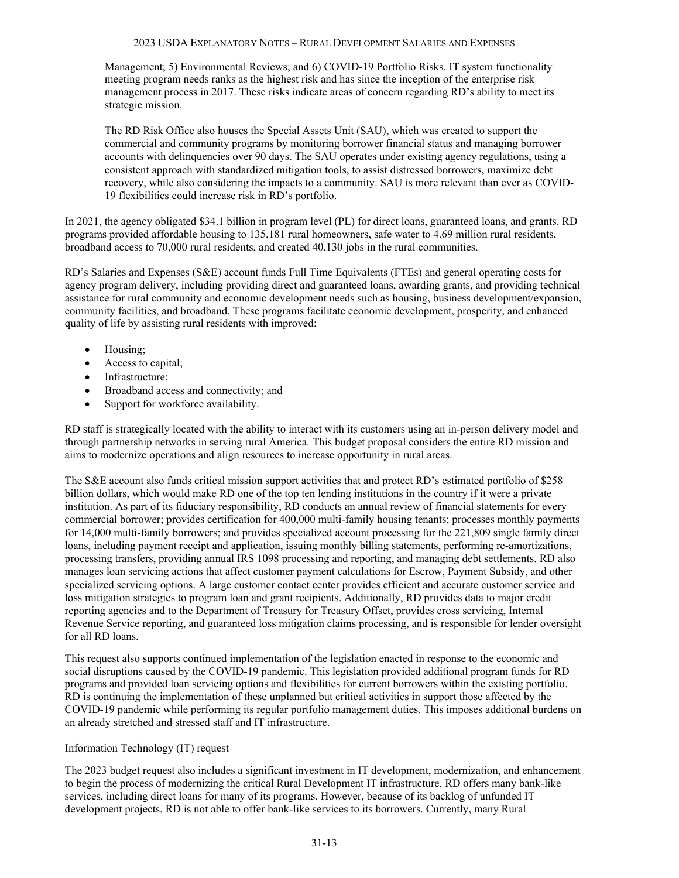Management; 5) Environmental Reviews; and 6) COVID-19 Portfolio Risks. IT system functionality meeting program needs ranks as the highest risk and has since the inception of the enterprise risk management process in 2017. These risks indicate areas of concern regarding RD's ability to meet its strategic mission.

The RD Risk Office also houses the Special Assets Unit (SAU), which was created to support the commercial and community programs by monitoring borrower financial status and managing borrower accounts with delinquencies over 90 days. The SAU operates under existing agency regulations, using a consistent approach with standardized mitigation tools, to assist distressed borrowers, maximize debt recovery, while also considering the impacts to a community. SAU is more relevant than ever as COVID-19 flexibilities could increase risk in RD's portfolio.

In 2021, the agency obligated \$34.1 billion in program level (PL) for direct loans, guaranteed loans, and grants. RD programs provided affordable housing to 135,181 rural homeowners, safe water to 4.69 million rural residents, broadband access to 70,000 rural residents, and created 40,130 jobs in the rural communities.

RD's Salaries and Expenses (S&E) account funds Full Time Equivalents (FTEs) and general operating costs for agency program delivery, including providing direct and guaranteed loans, awarding grants, and providing technical assistance for rural community and economic development needs such as housing, business development/expansion, community facilities, and broadband. These programs facilitate economic development, prosperity, and enhanced quality of life by assisting rural residents with improved:

- Housing;
- Access to capital;
- Infrastructure;
- Broadband access and connectivity; and
- Support for workforce availability.

RD staff is strategically located with the ability to interact with its customers using an in-person delivery model and through partnership networks in serving rural America. This budget proposal considers the entire RD mission and aims to modernize operations and align resources to increase opportunity in rural areas.

The S&E account also funds critical mission support activities that and protect RD's estimated portfolio of \$258 billion dollars, which would make RD one of the top ten lending institutions in the country if it were a private institution. As part of its fiduciary responsibility, RD conducts an annual review of financial statements for every commercial borrower; provides certification for 400,000 multi-family housing tenants; processes monthly payments for 14,000 multi-family borrowers; and provides specialized account processing for the 221,809 single family direct loans, including payment receipt and application, issuing monthly billing statements, performing re-amortizations, processing transfers, providing annual IRS 1098 processing and reporting, and managing debt settlements. RD also manages loan servicing actions that affect customer payment calculations for Escrow, Payment Subsidy, and other specialized servicing options. A large customer contact center provides efficient and accurate customer service and loss mitigation strategies to program loan and grant recipients. Additionally, RD provides data to major credit reporting agencies and to the Department of Treasury for Treasury Offset, provides cross servicing, Internal Revenue Service reporting, and guaranteed loss mitigation claims processing, and is responsible for lender oversight for all RD loans.

This request also supports continued implementation of the legislation enacted in response to the economic and social disruptions caused by the COVID-19 pandemic. This legislation provided additional program funds for RD programs and provided loan servicing options and flexibilities for current borrowers within the existing portfolio. RD is continuing the implementation of these unplanned but critical activities in support those affected by the COVID-19 pandemic while performing its regular portfolio management duties. This imposes additional burdens on an already stretched and stressed staff and IT infrastructure.

### Information Technology (IT) request

The 2023 budget request also includes a significant investment in IT development, modernization, and enhancement to begin the process of modernizing the critical Rural Development IT infrastructure. RD offers many bank-like services, including direct loans for many of its programs. However, because of its backlog of unfunded IT development projects, RD is not able to offer bank-like services to its borrowers. Currently, many Rural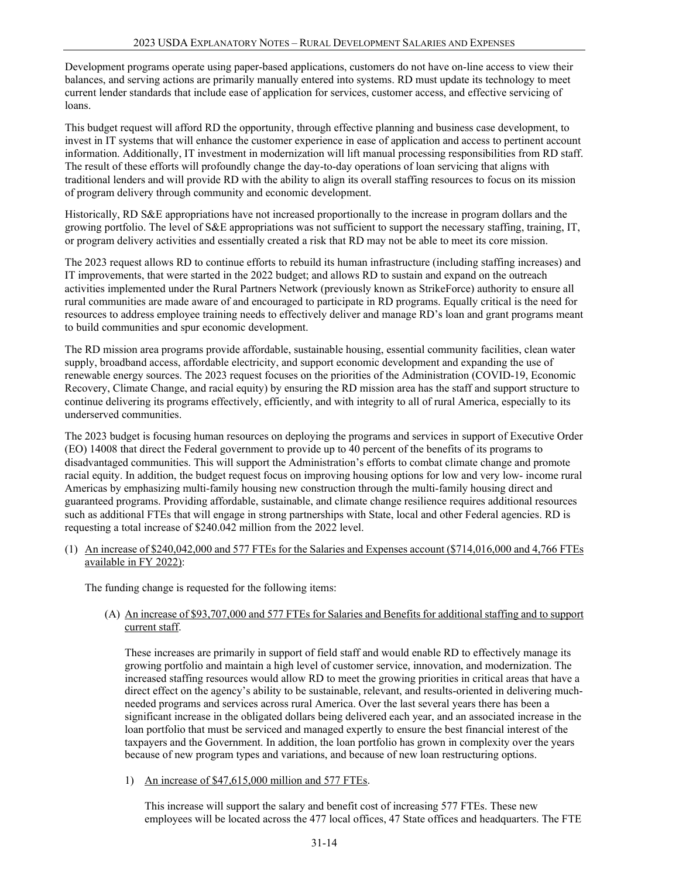Development programs operate using paper-based applications, customers do not have on-line access to view their balances, and serving actions are primarily manually entered into systems. RD must update its technology to meet current lender standards that include ease of application for services, customer access, and effective servicing of loans.

This budget request will afford RD the opportunity, through effective planning and business case development, to invest in IT systems that will enhance the customer experience in ease of application and access to pertinent account information. Additionally, IT investment in modernization will lift manual processing responsibilities from RD staff. The result of these efforts will profoundly change the day-to-day operations of loan servicing that aligns with traditional lenders and will provide RD with the ability to align its overall staffing resources to focus on its mission of program delivery through community and economic development.

Historically, RD S&E appropriations have not increased proportionally to the increase in program dollars and the growing portfolio. The level of S&E appropriations was not sufficient to support the necessary staffing, training, IT, or program delivery activities and essentially created a risk that RD may not be able to meet its core mission.

The 2023 request allows RD to continue efforts to rebuild its human infrastructure (including staffing increases) and IT improvements, that were started in the 2022 budget; and allows RD to sustain and expand on the outreach activities implemented under the Rural Partners Network (previously known as StrikeForce) authority to ensure all rural communities are made aware of and encouraged to participate in RD programs. Equally critical is the need for resources to address employee training needs to effectively deliver and manage RD's loan and grant programs meant to build communities and spur economic development.

The RD mission area programs provide affordable, sustainable housing, essential community facilities, clean water supply, broadband access, affordable electricity, and support economic development and expanding the use of renewable energy sources. The 2023 request focuses on the priorities of the Administration (COVID-19, Economic Recovery, Climate Change, and racial equity) by ensuring the RD mission area has the staff and support structure to continue delivering its programs effectively, efficiently, and with integrity to all of rural America, especially to its underserved communities.

The 2023 budget is focusing human resources on deploying the programs and services in support of Executive Order (EO) 14008 that direct the Federal government to provide up to 40 percent of the benefits of its programs to disadvantaged communities. This will support the Administration's efforts to combat climate change and promote racial equity. In addition, the budget request focus on improving housing options for low and very low- income rural Americas by emphasizing multi-family housing new construction through the multi-family housing direct and guaranteed programs. Providing affordable, sustainable, and climate change resilience requires additional resources such as additional FTEs that will engage in strong partnerships with State, local and other Federal agencies. RD is requesting a total increase of \$240.042 million from the 2022 level.

(1) An increase of \$240,042,000 and 577 FTEs for the Salaries and Expenses account (\$714,016,000 and 4,766 FTEs available in FY 2022):

The funding change is requested for the following items:

### (A) An increase of \$93,707,000 and 577 FTEs for Salaries and Benefits for additional staffing and to support current staff.

These increases are primarily in support of field staff and would enable RD to effectively manage its growing portfolio and maintain a high level of customer service, innovation, and modernization. The increased staffing resources would allow RD to meet the growing priorities in critical areas that have a direct effect on the agency's ability to be sustainable, relevant, and results-oriented in delivering muchneeded programs and services across rural America. Over the last several years there has been a significant increase in the obligated dollars being delivered each year, and an associated increase in the loan portfolio that must be serviced and managed expertly to ensure the best financial interest of the taxpayers and the Government. In addition, the loan portfolio has grown in complexity over the years because of new program types and variations, and because of new loan restructuring options.

1) An increase of \$47,615,000 million and 577 FTEs.

This increase will support the salary and benefit cost of increasing 577 FTEs. These new employees will be located across the 477 local offices, 47 State offices and headquarters. The FTE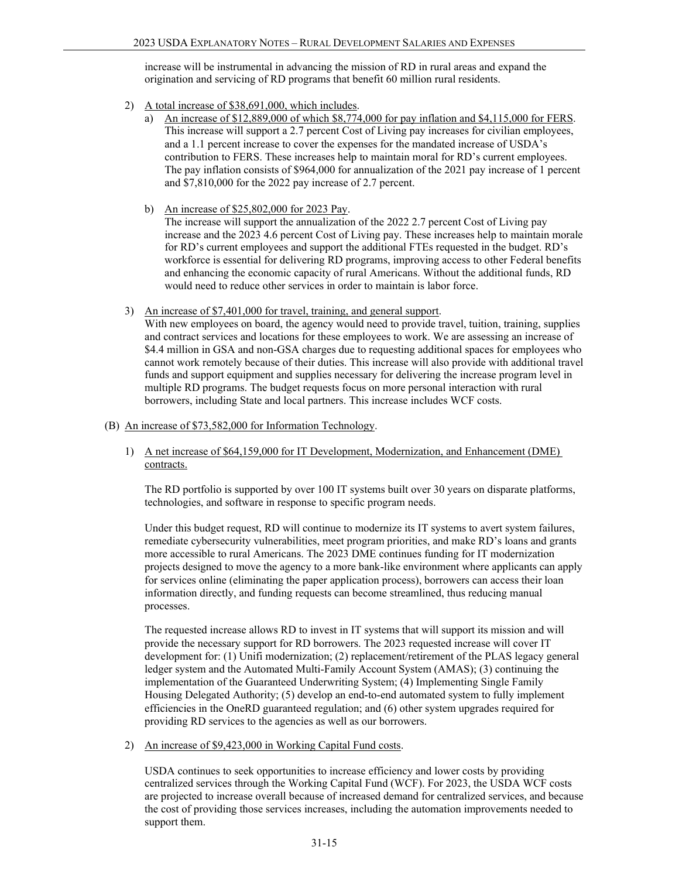increase will be instrumental in advancing the mission of RD in rural areas and expand the origination and servicing of RD programs that benefit 60 million rural residents.

- 2) A total increase of \$38,691,000, which includes.
	- a) An increase of \$12,889,000 of which \$8,774,000 for pay inflation and \$4,115,000 for FERS. This increase will support a 2.7 percent Cost of Living pay increases for civilian employees, and a 1.1 percent increase to cover the expenses for the mandated increase of USDA's contribution to FERS. These increases help to maintain moral for RD's current employees. The pay inflation consists of \$964,000 for annualization of the 2021 pay increase of 1 percent and \$7,810,000 for the 2022 pay increase of 2.7 percent.
	- b) An increase of \$25,802,000 for 2023 Pay.

The increase will support the annualization of the 2022 2.7 percent Cost of Living pay increase and the 2023 4.6 percent Cost of Living pay. These increases help to maintain morale for RD's current employees and support the additional FTEs requested in the budget. RD's workforce is essential for delivering RD programs, improving access to other Federal benefits and enhancing the economic capacity of rural Americans. Without the additional funds, RD would need to reduce other services in order to maintain is labor force.

3) An increase of \$7,401,000 for travel, training, and general support.

With new employees on board, the agency would need to provide travel, tuition, training, supplies and contract services and locations for these employees to work. We are assessing an increase of \$4.4 million in GSA and non-GSA charges due to requesting additional spaces for employees who cannot work remotely because of their duties. This increase will also provide with additional travel funds and support equipment and supplies necessary for delivering the increase program level in multiple RD programs. The budget requests focus on more personal interaction with rural borrowers, including State and local partners. This increase includes WCF costs.

- (B) An increase of \$73,582,000 for Information Technology.
	- 1) A net increase of \$64,159,000 for IT Development, Modernization, and Enhancement (DME) contracts.

The RD portfolio is supported by over 100 IT systems built over 30 years on disparate platforms, technologies, and software in response to specific program needs.

Under this budget request, RD will continue to modernize its IT systems to avert system failures, remediate cybersecurity vulnerabilities, meet program priorities, and make RD's loans and grants more accessible to rural Americans. The 2023 DME continues funding for IT modernization projects designed to move the agency to a more bank-like environment where applicants can apply for services online (eliminating the paper application process), borrowers can access their loan information directly, and funding requests can become streamlined, thus reducing manual processes.

The requested increase allows RD to invest in IT systems that will support its mission and will provide the necessary support for RD borrowers. The 2023 requested increase will cover IT development for: (1) Unifi modernization; (2) replacement/retirement of the PLAS legacy general ledger system and the Automated Multi-Family Account System (AMAS); (3) continuing the implementation of the Guaranteed Underwriting System; (4) Implementing Single Family Housing Delegated Authority; (5) develop an end-to-end automated system to fully implement efficiencies in the OneRD guaranteed regulation; and (6) other system upgrades required for providing RD services to the agencies as well as our borrowers.

2) An increase of \$9,423,000 in Working Capital Fund costs.

USDA continues to seek opportunities to increase efficiency and lower costs by providing centralized services through the Working Capital Fund (WCF). For 2023, the USDA WCF costs are projected to increase overall because of increased demand for centralized services, and because the cost of providing those services increases, including the automation improvements needed to support them.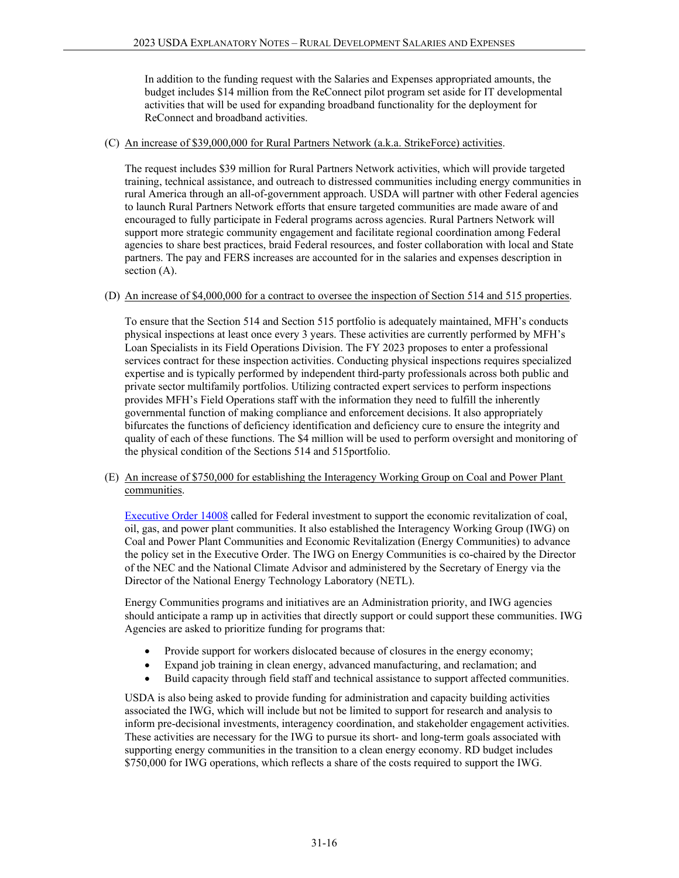In addition to the funding request with the Salaries and Expenses appropriated amounts, the budget includes \$14 million from the ReConnect pilot program set aside for IT developmental activities that will be used for expanding broadband functionality for the deployment for ReConnect and broadband activities.

#### (C) An increase of \$39,000,000 for Rural Partners Network (a.k.a. StrikeForce) activities.

The request includes \$39 million for Rural Partners Network activities, which will provide targeted training, technical assistance, and outreach to distressed communities including energy communities in rural America through an all-of-government approach. USDA will partner with other Federal agencies to launch Rural Partners Network efforts that ensure targeted communities are made aware of and encouraged to fully participate in Federal programs across agencies. Rural Partners Network will support more strategic community engagement and facilitate regional coordination among Federal agencies to share best practices, braid Federal resources, and foster collaboration with local and State partners. The pay and FERS increases are accounted for in the salaries and expenses description in section (A).

#### (D) An increase of \$4,000,000 for a contract to oversee the inspection of Section 514 and 515 properties.

To ensure that the Section 514 and Section 515 portfolio is adequately maintained, MFH's conducts physical inspections at least once every 3 years. These activities are currently performed by MFH's Loan Specialists in its Field Operations Division. The FY 2023 proposes to enter a professional services contract for these inspection activities. Conducting physical inspections requires specialized expertise and is typically performed by independent third-party professionals across both public and private sector multifamily portfolios. Utilizing contracted expert services to perform inspections provides MFH's Field Operations staff with the information they need to fulfill the inherently governmental function of making compliance and enforcement decisions. It also appropriately bifurcates the functions of deficiency identification and deficiency cure to ensure the integrity and quality of each of these functions. The \$4 million will be used to perform oversight and monitoring of the physical condition of the Sections 514 and 515portfolio.

(E) An increase of \$750,000 for establishing the Interagency Working Group on Coal and Power Plant communities.

[Executive Order 14008](https://www.whitehouse.gov/briefing-room/presidential-actions/2021/01/27/executive-order-on-tackling-the-climate-crisis-at-home-and-abroad/) called for Federal investment to support the economic revitalization of coal, oil, gas, and power plant communities. It also established the Interagency Working Group (IWG) on Coal and Power Plant Communities and Economic Revitalization (Energy Communities) to advance the policy set in the Executive Order. The IWG on Energy Communities is co-chaired by the Director of the NEC and the National Climate Advisor and administered by the Secretary of Energy via the Director of the National Energy Technology Laboratory (NETL).

Energy Communities programs and initiatives are an Administration priority, and IWG agencies should anticipate a ramp up in activities that directly support or could support these communities. IWG Agencies are asked to prioritize funding for programs that:

- Provide support for workers dislocated because of closures in the energy economy;
- Expand job training in clean energy, advanced manufacturing, and reclamation; and
- Build capacity through field staff and technical assistance to support affected communities.

USDA is also being asked to provide funding for administration and capacity building activities associated the IWG, which will include but not be limited to support for research and analysis to inform pre-decisional investments, interagency coordination, and stakeholder engagement activities. These activities are necessary for the IWG to pursue its short- and long-term goals associated with supporting energy communities in the transition to a clean energy economy. RD budget includes \$750,000 for IWG operations, which reflects a share of the costs required to support the IWG.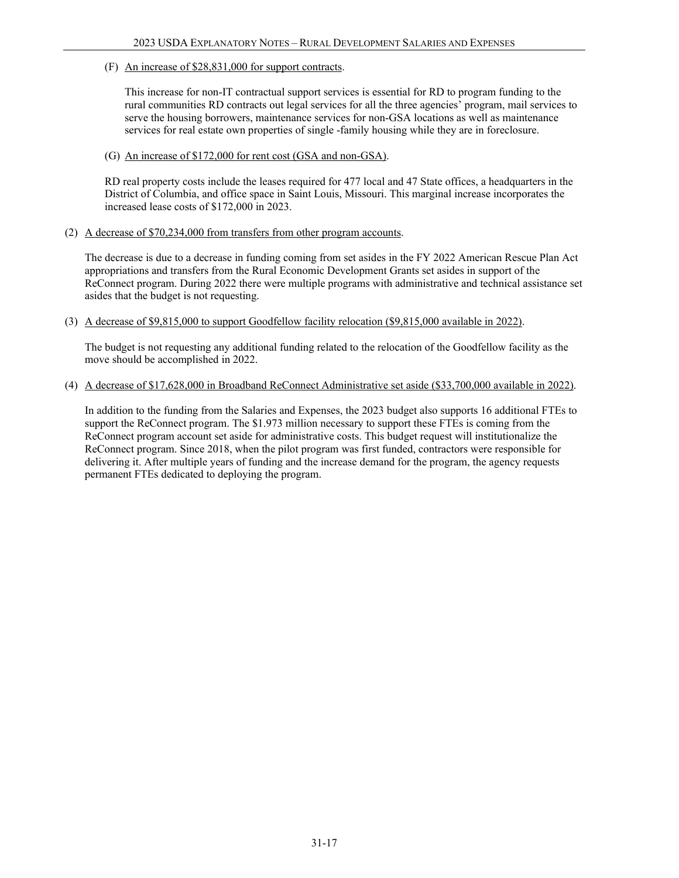(F) An increase of \$28,831,000 for support contracts.

This increase for non-IT contractual support services is essential for RD to program funding to the rural communities RD contracts out legal services for all the three agencies' program, mail services to serve the housing borrowers, maintenance services for non-GSA locations as well as maintenance services for real estate own properties of single -family housing while they are in foreclosure.

(G) An increase of \$172,000 for rent cost (GSA and non-GSA).

RD real property costs include the leases required for 477 local and 47 State offices, a headquarters in the District of Columbia, and office space in Saint Louis, Missouri. This marginal increase incorporates the increased lease costs of \$172,000 in 2023.

(2) A decrease of \$70,234,000 from transfers from other program accounts.

The decrease is due to a decrease in funding coming from set asides in the FY 2022 American Rescue Plan Act appropriations and transfers from the Rural Economic Development Grants set asides in support of the ReConnect program. During 2022 there were multiple programs with administrative and technical assistance set asides that the budget is not requesting.

(3) A decrease of \$9,815,000 to support Goodfellow facility relocation (\$9,815,000 available in 2022).

The budget is not requesting any additional funding related to the relocation of the Goodfellow facility as the move should be accomplished in 2022.

(4) A decrease of \$17,628,000 in Broadband ReConnect Administrative set aside (\$33,700,000 available in 2022).

In addition to the funding from the Salaries and Expenses, the 2023 budget also supports 16 additional FTEs to support the ReConnect program. The \$1.973 million necessary to support these FTEs is coming from the ReConnect program account set aside for administrative costs. This budget request will institutionalize the ReConnect program. Since 2018, when the pilot program was first funded, contractors were responsible for delivering it. After multiple years of funding and the increase demand for the program, the agency requests permanent FTEs dedicated to deploying the program.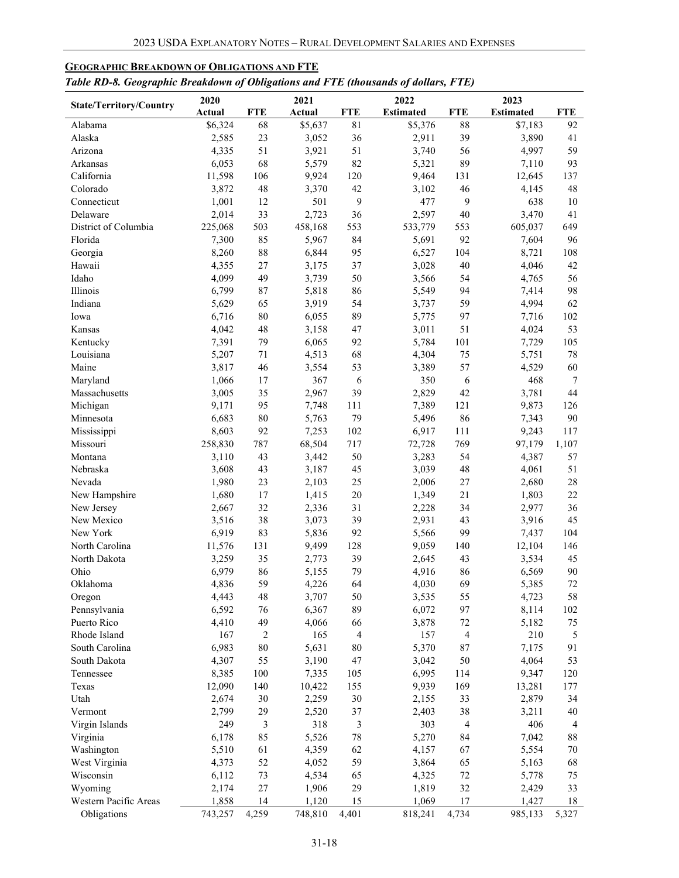| ruvie KD-0. Geographic Dreakaown of Ovugaavns and 1 TE (invasanus of availirs, 1 TE)<br>2023<br>2020<br>2021<br>2022 |                 |            |                |                |                  |                |                  |                |
|----------------------------------------------------------------------------------------------------------------------|-----------------|------------|----------------|----------------|------------------|----------------|------------------|----------------|
| <b>State/Territory/Country</b>                                                                                       | Actual          | <b>FTE</b> | Actual         | <b>FTE</b>     | <b>Estimated</b> | <b>FTE</b>     | <b>Estimated</b> | <b>FTE</b>     |
| Alabama                                                                                                              | \$6,324         | 68         | \$5,637        | 81             | \$5,376          | 88             | \$7,183          | 92             |
| Alaska                                                                                                               | 2,585           | 23         | 3,052          | 36             | 2,911            | 39             | 3,890            | 41             |
| Arizona                                                                                                              | 4,335           | 51         | 3,921          | 51             | 3,740            | 56             | 4,997            | 59             |
| Arkansas                                                                                                             | 6,053           | 68         | 5,579          | 82             | 5,321            | 89             | 7,110            | 93             |
| California                                                                                                           | 11,598          | 106        | 9,924          | 120            | 9,464            | 131            | 12,645           | 137            |
| Colorado                                                                                                             | 3,872           | 48         | 3,370          | 42             | 3,102            | 46             | 4,145            | 48             |
| Connecticut                                                                                                          | 1,001           | 12         | 501            | 9              | 477              | 9              | 638              | 10             |
| Delaware                                                                                                             | 2,014           | 33         | 2,723          | 36             | 2,597            | 40             | 3,470            | 41             |
| District of Columbia                                                                                                 | 225,068         | 503        | 458,168        | 553            | 533,779          | 553            | 605,037          | 649            |
| Florida                                                                                                              | 7,300           | 85         | 5,967          | 84             | 5,691            | 92             | 7,604            | 96             |
| Georgia                                                                                                              | 8,260           | 88         | 6,844          | 95             | 6,527            | 104            | 8,721            | 108            |
| Hawaii                                                                                                               | 4,355           | $27\,$     | 3,175          | 37             | 3,028            | 40             | 4,046            | 42             |
| Idaho                                                                                                                | 4,099           | 49         | 3,739          | 50             | 3,566            | 54             | 4,765            | 56             |
| Illinois                                                                                                             | 6,799           | 87         | 5,818          | 86             | 5,549            | 94             | 7,414            | 98             |
| Indiana                                                                                                              | 5,629           | 65         | 3,919          | 54             | 3,737            | 59             | 4,994            | 62             |
| Iowa                                                                                                                 | 6,716           | 80         | 6,055          | 89             | 5,775            | 97             | 7,716            | 102            |
| Kansas                                                                                                               | 4,042           | 48         | 3,158          | 47             | 3,011            | 51             | 4,024            | 53             |
| Kentucky                                                                                                             | 7,391           | 79         | 6,065          | 92             | 5,784            | 101            | 7,729            | 105            |
| Louisiana                                                                                                            | 5,207           | $71\,$     | 4,513          | 68             | 4,304            | 75             | 5,751            | 78             |
| Maine                                                                                                                | 3,817           | 46         | 3,554          | 53             | 3,389            | 57             | 4,529            | 60             |
| Maryland                                                                                                             | 1,066           | 17         | 367            | 6              | 350              | 6              | 468              | $\tau$         |
| Massachusetts                                                                                                        | 3,005           | 35         | 2,967          | 39             | 2,829            | 42             | 3,781            | 44             |
| Michigan                                                                                                             | 9,171           | 95         | 7,748          | 111            | 7,389            | 121            | 9,873            | 126            |
| Minnesota                                                                                                            | 6,683           | 80         | 5,763          | 79             | 5,496            | 86             | 7,343            | 90             |
| Mississippi                                                                                                          | 8,603           | 92         | 7,253          | 102            | 6,917            | 111            | 9,243            | 117            |
| Missouri                                                                                                             | 258,830         | 787        | 68,504         | 717            | 72,728           | 769            | 97,179           | 1,107          |
| Montana                                                                                                              | 3,110           | 43         | 3,442          | 50             | 3,283            | 54             | 4,387            | 57             |
| Nebraska                                                                                                             | 3,608           | 43         | 3,187          | 45             | 3,039            | 48             | 4,061            | 51             |
| Nevada                                                                                                               | 1,980           | 23         | 2,103          | 25             | 2,006            | 27             | 2,680            | 28             |
| New Hampshire                                                                                                        | 1,680           | 17         | 1,415          | 20             | 1,349            | 21             | 1,803            | 22             |
| New Jersey                                                                                                           | 2,667           | 32         | 2,336          | 31             | 2,228            | 34             | 2,977            | 36             |
| New Mexico                                                                                                           | 3,516           | 38         | 3,073          | 39             | 2,931            | 43             | 3,916            | 45             |
| New York<br>North Carolina                                                                                           | 6,919           | 83<br>131  | 5,836          | 92<br>128      | 5,566<br>9,059   | 99<br>140      | 7,437            | 104<br>146     |
|                                                                                                                      | 11,576<br>3,259 | 35         | 9,499          | 39             | 2,645            | 43             | 12,104<br>3,534  | 45             |
| North Dakota<br>Ohio                                                                                                 | 6,979           | 86         | 2,773<br>5,155 | 79             | 4,916            | 86             | 6,569            | 90             |
| Oklahoma                                                                                                             | 4,836           | 59         | 4,226          | 64             |                  | 69             |                  | 72             |
| Oregon                                                                                                               | 4,443           | 48         | 3,707          | 50             | 4,030<br>3,535   | 55             | 5,385<br>4,723   | 58             |
| Pennsylvania                                                                                                         | 6,592           | 76         | 6,367          | 89             | 6,072            | 97             | 8,114            | 102            |
| Puerto Rico                                                                                                          | 4,410           | 49         | 4,066          | 66             | 3,878            | $72\,$         | 5,182            | $75\,$         |
| Rhode Island                                                                                                         | 167             | $\sqrt{2}$ | 165            | $\overline{4}$ | 157              | $\overline{4}$ | 210              | $\sqrt{5}$     |
| South Carolina                                                                                                       | 6,983           | 80         | 5,631          | 80             | 5,370            | 87             | 7,175            | 91             |
| South Dakota                                                                                                         | 4,307           | 55         | 3,190          | 47             | 3,042            | 50             | 4,064            | 53             |
| Tennessee                                                                                                            | 8,385           | 100        | 7,335          | 105            | 6,995            | 114            | 9,347            | 120            |
| Texas                                                                                                                | 12,090          | 140        | 10,422         | 155            | 9,939            | 169            | 13,281           | 177            |
| Utah                                                                                                                 | 2,674           | 30         | 2,259          | $30\,$         | 2,155            | 33             | 2,879            | 34             |
| Vermont                                                                                                              | 2,799           | 29         | 2,520          | 37             | 2,403            | 38             | 3,211            | 40             |
| Virgin Islands                                                                                                       | 249             | 3          | 318            | $\mathfrak{Z}$ | 303              | 4              | 406              | $\overline{4}$ |
| Virginia                                                                                                             | 6,178           | 85         | 5,526          | 78             | 5,270            | 84             | 7,042            | $88\,$         |
| Washington                                                                                                           | 5,510           | 61         | 4,359          | 62             | 4,157            | 67             | 5,554            | 70             |
| West Virginia                                                                                                        | 4,373           | 52         | 4,052          | 59             | 3,864            | 65             | 5,163            | 68             |
| Wisconsin                                                                                                            | 6,112           | 73         | 4,534          | 65             | 4,325            | $72\,$         | 5,778            | 75             |
| Wyoming                                                                                                              | 2,174           | $27\,$     | 1,906          | 29             | 1,819            | 32             | 2,429            | 33             |
| Western Pacific Areas                                                                                                | 1,858           | 14         | 1,120          | 15             | 1,069            | 17             | 1,427            | 18             |
| Obligations                                                                                                          | 743,257         | 4,259      | 748,810        | 4,401          | 818,241          | 4,734          | 985,133          | 5,327          |

# <span id="page-17-0"></span>**GEOGRAPHIC BREAKDOWN OF OBLIGATIONS AND FTE**

# *Table RD-8. Geographic Breakdown of Obligations and FTE (thousands of dollars, FTE)*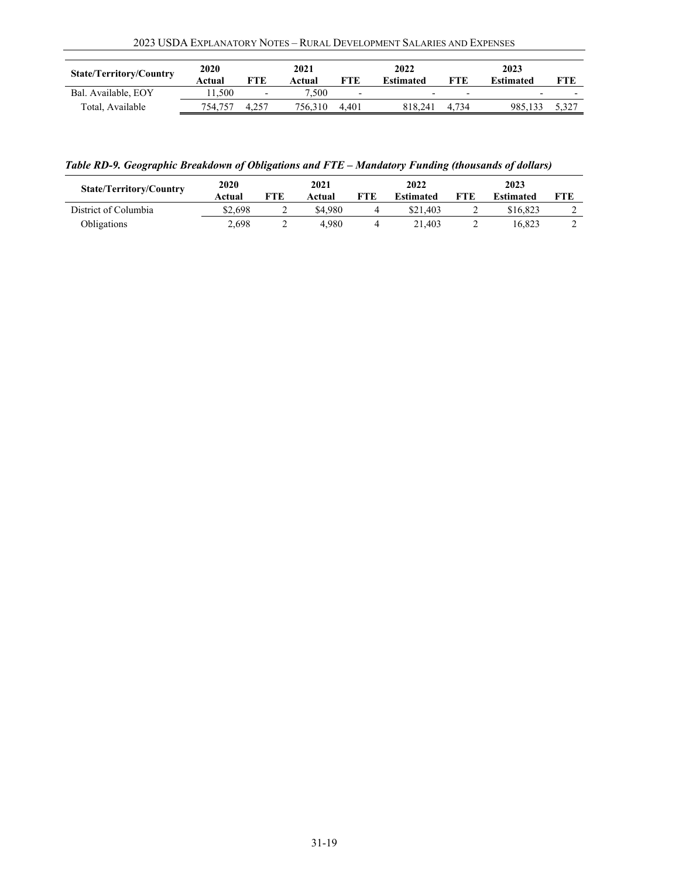| <b>State/Territory/Country</b> | 2020<br>Actual | <b>FTE</b>               | 2021<br>Actual | FTE                      | 2022<br><b>Estimated</b> | FTE                      | 2023<br><b>Estimated</b> | FTE                      |
|--------------------------------|----------------|--------------------------|----------------|--------------------------|--------------------------|--------------------------|--------------------------|--------------------------|
| Bal. Available, EOY            | 1.500          | $\overline{\phantom{0}}$ | 7.500          | $\overline{\phantom{0}}$ |                          | $\overline{\phantom{a}}$ | $\overline{\phantom{0}}$ | $\overline{\phantom{0}}$ |
| Total, Available               | 754.757        |                          | 756.310        | 4.401                    | 818.241                  | 4.734                    | 985.133                  | 5,327                    |

*Table RD-9. Geographic Breakdown of Obligations and FTE – Mandatory Funding (thousands of dollars)*

| <b>State/Territory/Country</b> | <b>2020</b><br>Actual | <b>FTE</b> | 2021<br>Actual | FTE | 2022<br>Estimated | FTE | 2023<br><b>Estimated</b> | FTE |
|--------------------------------|-----------------------|------------|----------------|-----|-------------------|-----|--------------------------|-----|
| District of Columbia           | \$2.698               |            | \$4.980        |     | \$21.403          |     | \$16,823                 | ∸   |
| Obligations                    | 2,698                 | ∸          | 4.980          |     | 21.403            | ∸   | 16.823                   | ∸   |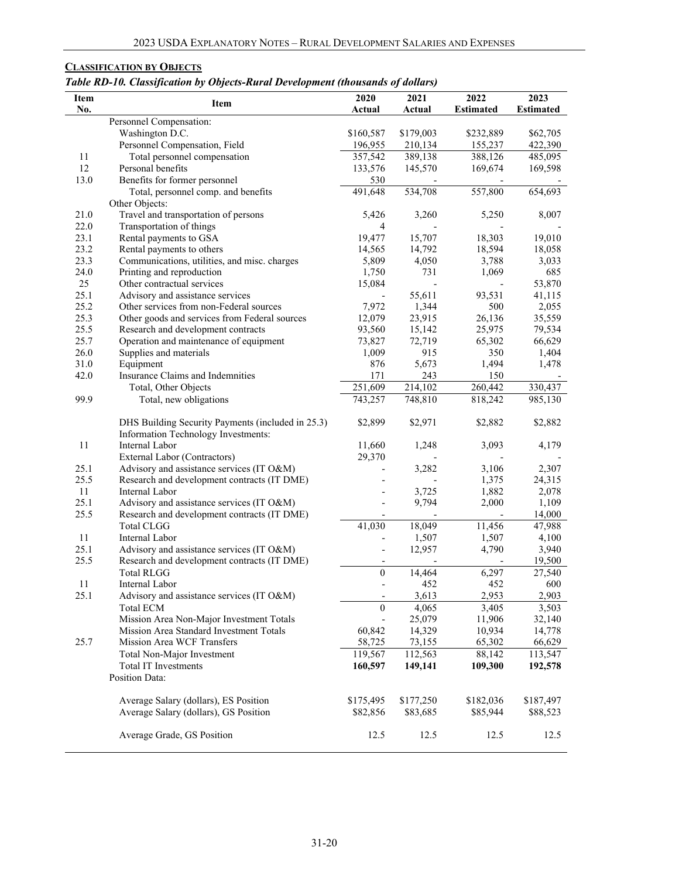# <span id="page-19-0"></span>**CLASSIFICATION BY OBJECTS**

*Table RD-10. Classification by Objects-Rural Development (thousands of dollars)*

| No.<br>Actual<br>Actual<br>Personnel Compensation:<br>Washington D.C.<br>\$160,587<br>\$179,003<br>\$62,705<br>\$232,889<br>Personnel Compensation, Field<br>196,955<br>155,237<br>422,390<br>210,134<br>Total personnel compensation<br>357,542<br>485,095<br>11<br>389,138<br>388,126<br>12<br>Personal benefits<br>133,576<br>145,570<br>169,598<br>169,674<br>13.0<br>Benefits for former personnel<br>530<br>491,648<br>Total, personnel comp. and benefits<br>534,708<br>557,800<br>654,693<br>Other Objects:<br>21.0<br>Travel and transportation of persons<br>8,007<br>5,426<br>3,260<br>5,250<br>22.0<br>Transportation of things<br>4<br>23.1<br>18,303<br>19,010<br>Rental payments to GSA<br>19,477<br>15,707<br>23.2<br>Rental payments to others<br>14,565<br>14,792<br>18,594<br>18,058<br>23.3<br>Communications, utilities, and misc. charges<br>5,809<br>3,788<br>3,033<br>4,050<br>24.0<br>Printing and reproduction<br>1,750<br>731<br>1,069<br>685<br>Other contractual services<br>25<br>15,084<br>53,870<br>25.1<br>55,611<br>Advisory and assistance services<br>93,531<br>41,115<br>25.2<br>Other services from non-Federal sources<br>7,972<br>1,344<br>500<br>2,055<br>25.3<br>35,559<br>Other goods and services from Federal sources<br>12,079<br>23,915<br>26,136<br>25.5<br>Research and development contracts<br>93,560<br>25,975<br>79,534<br>15,142<br>25.7<br>Operation and maintenance of equipment<br>65,302<br>73,827<br>72,719<br>66,629<br>26.0<br>Supplies and materials<br>1,009<br>915<br>350<br>1,404<br>31.0<br>Equipment<br>876<br>5,673<br>1,494<br>1,478<br>42.0<br>Insurance Claims and Indemnities<br>171<br>243<br>150<br>251,609<br>214,102<br>260,442<br>Total, Other Objects<br>330,437<br>743,257<br>748,810<br>99.9<br>Total, new obligations<br>818,242<br>985,130<br>\$2,882<br>DHS Building Security Payments (included in 25.3)<br>\$2,899<br>\$2,971<br>\$2,882<br>Information Technology Investments:<br>11<br>Internal Labor<br>11,660<br>1,248<br>3,093<br>4,179<br>29,370<br>External Labor (Contractors)<br>Advisory and assistance services (IT O&M)<br>25.1<br>3,282<br>3,106<br>2,307<br>25.5<br>Research and development contracts (IT DME)<br>1,375<br>24,315<br>11<br>Internal Labor<br>3,725<br>1,882<br>2,078<br>25.1<br>Advisory and assistance services (IT O&M)<br>9,794<br>2,000<br>1,109<br>25.5<br>Research and development contracts (IT DME)<br>14,000<br>41,030<br><b>Total CLGG</b><br>18,049<br>47,988<br>11,456<br>11<br>Internal Labor<br>1,507<br>4,100<br>1,507<br>25.1<br>4,790<br>3,940<br>Advisory and assistance services (IT O&M)<br>12,957<br>25.5<br>19,500<br>Research and development contracts (IT DME)<br>$\boldsymbol{0}$<br><b>Total RLGG</b><br>14,464<br>6,297<br>27,540<br>452<br>600<br>452<br>11<br>Internal Labor<br>25.1<br>3,613<br>2,953<br>2,903<br>Advisory and assistance services (IT O&M)<br>$\theta$<br>Total ECM<br>4,065<br>3,405<br>3,503<br>25,079<br>Mission Area Non-Major Investment Totals<br>11,906<br>32,140<br>$\overline{\phantom{a}}$<br>60,842<br>Mission Area Standard Investment Totals<br>14,329<br>10,934<br>14,778<br>58,725<br>25.7<br>Mission Area WCF Transfers<br>73,155<br>65,302<br>66,629<br>119,567<br>112,563<br>113,547<br>Total Non-Major Investment<br>88,142<br>Total IT Investments<br>160,597<br>149,141<br>109,300<br>192,578<br>Position Data:<br>Average Salary (dollars), ES Position<br>\$175,495<br>\$177,250<br>\$182,036<br>\$187,497<br>Average Salary (dollars), GS Position<br>\$82,856<br>\$83,685<br>\$85,944<br>\$88,523<br>Average Grade, GS Position<br>12.5<br>12.5<br>12.5<br>12.5 | Item | Item | 2020 | 2021 | 2022             | 2023             |
|--------------------------------------------------------------------------------------------------------------------------------------------------------------------------------------------------------------------------------------------------------------------------------------------------------------------------------------------------------------------------------------------------------------------------------------------------------------------------------------------------------------------------------------------------------------------------------------------------------------------------------------------------------------------------------------------------------------------------------------------------------------------------------------------------------------------------------------------------------------------------------------------------------------------------------------------------------------------------------------------------------------------------------------------------------------------------------------------------------------------------------------------------------------------------------------------------------------------------------------------------------------------------------------------------------------------------------------------------------------------------------------------------------------------------------------------------------------------------------------------------------------------------------------------------------------------------------------------------------------------------------------------------------------------------------------------------------------------------------------------------------------------------------------------------------------------------------------------------------------------------------------------------------------------------------------------------------------------------------------------------------------------------------------------------------------------------------------------------------------------------------------------------------------------------------------------------------------------------------------------------------------------------------------------------------------------------------------------------------------------------------------------------------------------------------------------------------------------------------------------------------------------------------------------------------------------------------------------------------------------------------------------------------------------------------------------------------------------------------------------------------------------------------------------------------------------------------------------------------------------------------------------------------------------------------------------------------------------------------------------------------------------------------------------------------------------------------------------------------------------------------------------------------------------------------------------------------------------------------------------------------------------------------------------------------------------------------------------------------------------------------------------------------------------------------------------------------------------------------------------------------------------------------------------------------------------------------------------------------------------------------------------------------------|------|------|------|------|------------------|------------------|
|                                                                                                                                                                                                                                                                                                                                                                                                                                                                                                                                                                                                                                                                                                                                                                                                                                                                                                                                                                                                                                                                                                                                                                                                                                                                                                                                                                                                                                                                                                                                                                                                                                                                                                                                                                                                                                                                                                                                                                                                                                                                                                                                                                                                                                                                                                                                                                                                                                                                                                                                                                                                                                                                                                                                                                                                                                                                                                                                                                                                                                                                                                                                                                                                                                                                                                                                                                                                                                                                                                                                                                                                                                                              |      |      |      |      | <b>Estimated</b> | <b>Estimated</b> |
|                                                                                                                                                                                                                                                                                                                                                                                                                                                                                                                                                                                                                                                                                                                                                                                                                                                                                                                                                                                                                                                                                                                                                                                                                                                                                                                                                                                                                                                                                                                                                                                                                                                                                                                                                                                                                                                                                                                                                                                                                                                                                                                                                                                                                                                                                                                                                                                                                                                                                                                                                                                                                                                                                                                                                                                                                                                                                                                                                                                                                                                                                                                                                                                                                                                                                                                                                                                                                                                                                                                                                                                                                                                              |      |      |      |      |                  |                  |
|                                                                                                                                                                                                                                                                                                                                                                                                                                                                                                                                                                                                                                                                                                                                                                                                                                                                                                                                                                                                                                                                                                                                                                                                                                                                                                                                                                                                                                                                                                                                                                                                                                                                                                                                                                                                                                                                                                                                                                                                                                                                                                                                                                                                                                                                                                                                                                                                                                                                                                                                                                                                                                                                                                                                                                                                                                                                                                                                                                                                                                                                                                                                                                                                                                                                                                                                                                                                                                                                                                                                                                                                                                                              |      |      |      |      |                  |                  |
|                                                                                                                                                                                                                                                                                                                                                                                                                                                                                                                                                                                                                                                                                                                                                                                                                                                                                                                                                                                                                                                                                                                                                                                                                                                                                                                                                                                                                                                                                                                                                                                                                                                                                                                                                                                                                                                                                                                                                                                                                                                                                                                                                                                                                                                                                                                                                                                                                                                                                                                                                                                                                                                                                                                                                                                                                                                                                                                                                                                                                                                                                                                                                                                                                                                                                                                                                                                                                                                                                                                                                                                                                                                              |      |      |      |      |                  |                  |
|                                                                                                                                                                                                                                                                                                                                                                                                                                                                                                                                                                                                                                                                                                                                                                                                                                                                                                                                                                                                                                                                                                                                                                                                                                                                                                                                                                                                                                                                                                                                                                                                                                                                                                                                                                                                                                                                                                                                                                                                                                                                                                                                                                                                                                                                                                                                                                                                                                                                                                                                                                                                                                                                                                                                                                                                                                                                                                                                                                                                                                                                                                                                                                                                                                                                                                                                                                                                                                                                                                                                                                                                                                                              |      |      |      |      |                  |                  |
|                                                                                                                                                                                                                                                                                                                                                                                                                                                                                                                                                                                                                                                                                                                                                                                                                                                                                                                                                                                                                                                                                                                                                                                                                                                                                                                                                                                                                                                                                                                                                                                                                                                                                                                                                                                                                                                                                                                                                                                                                                                                                                                                                                                                                                                                                                                                                                                                                                                                                                                                                                                                                                                                                                                                                                                                                                                                                                                                                                                                                                                                                                                                                                                                                                                                                                                                                                                                                                                                                                                                                                                                                                                              |      |      |      |      |                  |                  |
|                                                                                                                                                                                                                                                                                                                                                                                                                                                                                                                                                                                                                                                                                                                                                                                                                                                                                                                                                                                                                                                                                                                                                                                                                                                                                                                                                                                                                                                                                                                                                                                                                                                                                                                                                                                                                                                                                                                                                                                                                                                                                                                                                                                                                                                                                                                                                                                                                                                                                                                                                                                                                                                                                                                                                                                                                                                                                                                                                                                                                                                                                                                                                                                                                                                                                                                                                                                                                                                                                                                                                                                                                                                              |      |      |      |      |                  |                  |
|                                                                                                                                                                                                                                                                                                                                                                                                                                                                                                                                                                                                                                                                                                                                                                                                                                                                                                                                                                                                                                                                                                                                                                                                                                                                                                                                                                                                                                                                                                                                                                                                                                                                                                                                                                                                                                                                                                                                                                                                                                                                                                                                                                                                                                                                                                                                                                                                                                                                                                                                                                                                                                                                                                                                                                                                                                                                                                                                                                                                                                                                                                                                                                                                                                                                                                                                                                                                                                                                                                                                                                                                                                                              |      |      |      |      |                  |                  |
|                                                                                                                                                                                                                                                                                                                                                                                                                                                                                                                                                                                                                                                                                                                                                                                                                                                                                                                                                                                                                                                                                                                                                                                                                                                                                                                                                                                                                                                                                                                                                                                                                                                                                                                                                                                                                                                                                                                                                                                                                                                                                                                                                                                                                                                                                                                                                                                                                                                                                                                                                                                                                                                                                                                                                                                                                                                                                                                                                                                                                                                                                                                                                                                                                                                                                                                                                                                                                                                                                                                                                                                                                                                              |      |      |      |      |                  |                  |
|                                                                                                                                                                                                                                                                                                                                                                                                                                                                                                                                                                                                                                                                                                                                                                                                                                                                                                                                                                                                                                                                                                                                                                                                                                                                                                                                                                                                                                                                                                                                                                                                                                                                                                                                                                                                                                                                                                                                                                                                                                                                                                                                                                                                                                                                                                                                                                                                                                                                                                                                                                                                                                                                                                                                                                                                                                                                                                                                                                                                                                                                                                                                                                                                                                                                                                                                                                                                                                                                                                                                                                                                                                                              |      |      |      |      |                  |                  |
|                                                                                                                                                                                                                                                                                                                                                                                                                                                                                                                                                                                                                                                                                                                                                                                                                                                                                                                                                                                                                                                                                                                                                                                                                                                                                                                                                                                                                                                                                                                                                                                                                                                                                                                                                                                                                                                                                                                                                                                                                                                                                                                                                                                                                                                                                                                                                                                                                                                                                                                                                                                                                                                                                                                                                                                                                                                                                                                                                                                                                                                                                                                                                                                                                                                                                                                                                                                                                                                                                                                                                                                                                                                              |      |      |      |      |                  |                  |
|                                                                                                                                                                                                                                                                                                                                                                                                                                                                                                                                                                                                                                                                                                                                                                                                                                                                                                                                                                                                                                                                                                                                                                                                                                                                                                                                                                                                                                                                                                                                                                                                                                                                                                                                                                                                                                                                                                                                                                                                                                                                                                                                                                                                                                                                                                                                                                                                                                                                                                                                                                                                                                                                                                                                                                                                                                                                                                                                                                                                                                                                                                                                                                                                                                                                                                                                                                                                                                                                                                                                                                                                                                                              |      |      |      |      |                  |                  |
|                                                                                                                                                                                                                                                                                                                                                                                                                                                                                                                                                                                                                                                                                                                                                                                                                                                                                                                                                                                                                                                                                                                                                                                                                                                                                                                                                                                                                                                                                                                                                                                                                                                                                                                                                                                                                                                                                                                                                                                                                                                                                                                                                                                                                                                                                                                                                                                                                                                                                                                                                                                                                                                                                                                                                                                                                                                                                                                                                                                                                                                                                                                                                                                                                                                                                                                                                                                                                                                                                                                                                                                                                                                              |      |      |      |      |                  |                  |
|                                                                                                                                                                                                                                                                                                                                                                                                                                                                                                                                                                                                                                                                                                                                                                                                                                                                                                                                                                                                                                                                                                                                                                                                                                                                                                                                                                                                                                                                                                                                                                                                                                                                                                                                                                                                                                                                                                                                                                                                                                                                                                                                                                                                                                                                                                                                                                                                                                                                                                                                                                                                                                                                                                                                                                                                                                                                                                                                                                                                                                                                                                                                                                                                                                                                                                                                                                                                                                                                                                                                                                                                                                                              |      |      |      |      |                  |                  |
|                                                                                                                                                                                                                                                                                                                                                                                                                                                                                                                                                                                                                                                                                                                                                                                                                                                                                                                                                                                                                                                                                                                                                                                                                                                                                                                                                                                                                                                                                                                                                                                                                                                                                                                                                                                                                                                                                                                                                                                                                                                                                                                                                                                                                                                                                                                                                                                                                                                                                                                                                                                                                                                                                                                                                                                                                                                                                                                                                                                                                                                                                                                                                                                                                                                                                                                                                                                                                                                                                                                                                                                                                                                              |      |      |      |      |                  |                  |
|                                                                                                                                                                                                                                                                                                                                                                                                                                                                                                                                                                                                                                                                                                                                                                                                                                                                                                                                                                                                                                                                                                                                                                                                                                                                                                                                                                                                                                                                                                                                                                                                                                                                                                                                                                                                                                                                                                                                                                                                                                                                                                                                                                                                                                                                                                                                                                                                                                                                                                                                                                                                                                                                                                                                                                                                                                                                                                                                                                                                                                                                                                                                                                                                                                                                                                                                                                                                                                                                                                                                                                                                                                                              |      |      |      |      |                  |                  |
|                                                                                                                                                                                                                                                                                                                                                                                                                                                                                                                                                                                                                                                                                                                                                                                                                                                                                                                                                                                                                                                                                                                                                                                                                                                                                                                                                                                                                                                                                                                                                                                                                                                                                                                                                                                                                                                                                                                                                                                                                                                                                                                                                                                                                                                                                                                                                                                                                                                                                                                                                                                                                                                                                                                                                                                                                                                                                                                                                                                                                                                                                                                                                                                                                                                                                                                                                                                                                                                                                                                                                                                                                                                              |      |      |      |      |                  |                  |
|                                                                                                                                                                                                                                                                                                                                                                                                                                                                                                                                                                                                                                                                                                                                                                                                                                                                                                                                                                                                                                                                                                                                                                                                                                                                                                                                                                                                                                                                                                                                                                                                                                                                                                                                                                                                                                                                                                                                                                                                                                                                                                                                                                                                                                                                                                                                                                                                                                                                                                                                                                                                                                                                                                                                                                                                                                                                                                                                                                                                                                                                                                                                                                                                                                                                                                                                                                                                                                                                                                                                                                                                                                                              |      |      |      |      |                  |                  |
|                                                                                                                                                                                                                                                                                                                                                                                                                                                                                                                                                                                                                                                                                                                                                                                                                                                                                                                                                                                                                                                                                                                                                                                                                                                                                                                                                                                                                                                                                                                                                                                                                                                                                                                                                                                                                                                                                                                                                                                                                                                                                                                                                                                                                                                                                                                                                                                                                                                                                                                                                                                                                                                                                                                                                                                                                                                                                                                                                                                                                                                                                                                                                                                                                                                                                                                                                                                                                                                                                                                                                                                                                                                              |      |      |      |      |                  |                  |
|                                                                                                                                                                                                                                                                                                                                                                                                                                                                                                                                                                                                                                                                                                                                                                                                                                                                                                                                                                                                                                                                                                                                                                                                                                                                                                                                                                                                                                                                                                                                                                                                                                                                                                                                                                                                                                                                                                                                                                                                                                                                                                                                                                                                                                                                                                                                                                                                                                                                                                                                                                                                                                                                                                                                                                                                                                                                                                                                                                                                                                                                                                                                                                                                                                                                                                                                                                                                                                                                                                                                                                                                                                                              |      |      |      |      |                  |                  |
|                                                                                                                                                                                                                                                                                                                                                                                                                                                                                                                                                                                                                                                                                                                                                                                                                                                                                                                                                                                                                                                                                                                                                                                                                                                                                                                                                                                                                                                                                                                                                                                                                                                                                                                                                                                                                                                                                                                                                                                                                                                                                                                                                                                                                                                                                                                                                                                                                                                                                                                                                                                                                                                                                                                                                                                                                                                                                                                                                                                                                                                                                                                                                                                                                                                                                                                                                                                                                                                                                                                                                                                                                                                              |      |      |      |      |                  |                  |
|                                                                                                                                                                                                                                                                                                                                                                                                                                                                                                                                                                                                                                                                                                                                                                                                                                                                                                                                                                                                                                                                                                                                                                                                                                                                                                                                                                                                                                                                                                                                                                                                                                                                                                                                                                                                                                                                                                                                                                                                                                                                                                                                                                                                                                                                                                                                                                                                                                                                                                                                                                                                                                                                                                                                                                                                                                                                                                                                                                                                                                                                                                                                                                                                                                                                                                                                                                                                                                                                                                                                                                                                                                                              |      |      |      |      |                  |                  |
|                                                                                                                                                                                                                                                                                                                                                                                                                                                                                                                                                                                                                                                                                                                                                                                                                                                                                                                                                                                                                                                                                                                                                                                                                                                                                                                                                                                                                                                                                                                                                                                                                                                                                                                                                                                                                                                                                                                                                                                                                                                                                                                                                                                                                                                                                                                                                                                                                                                                                                                                                                                                                                                                                                                                                                                                                                                                                                                                                                                                                                                                                                                                                                                                                                                                                                                                                                                                                                                                                                                                                                                                                                                              |      |      |      |      |                  |                  |
|                                                                                                                                                                                                                                                                                                                                                                                                                                                                                                                                                                                                                                                                                                                                                                                                                                                                                                                                                                                                                                                                                                                                                                                                                                                                                                                                                                                                                                                                                                                                                                                                                                                                                                                                                                                                                                                                                                                                                                                                                                                                                                                                                                                                                                                                                                                                                                                                                                                                                                                                                                                                                                                                                                                                                                                                                                                                                                                                                                                                                                                                                                                                                                                                                                                                                                                                                                                                                                                                                                                                                                                                                                                              |      |      |      |      |                  |                  |
|                                                                                                                                                                                                                                                                                                                                                                                                                                                                                                                                                                                                                                                                                                                                                                                                                                                                                                                                                                                                                                                                                                                                                                                                                                                                                                                                                                                                                                                                                                                                                                                                                                                                                                                                                                                                                                                                                                                                                                                                                                                                                                                                                                                                                                                                                                                                                                                                                                                                                                                                                                                                                                                                                                                                                                                                                                                                                                                                                                                                                                                                                                                                                                                                                                                                                                                                                                                                                                                                                                                                                                                                                                                              |      |      |      |      |                  |                  |
|                                                                                                                                                                                                                                                                                                                                                                                                                                                                                                                                                                                                                                                                                                                                                                                                                                                                                                                                                                                                                                                                                                                                                                                                                                                                                                                                                                                                                                                                                                                                                                                                                                                                                                                                                                                                                                                                                                                                                                                                                                                                                                                                                                                                                                                                                                                                                                                                                                                                                                                                                                                                                                                                                                                                                                                                                                                                                                                                                                                                                                                                                                                                                                                                                                                                                                                                                                                                                                                                                                                                                                                                                                                              |      |      |      |      |                  |                  |
|                                                                                                                                                                                                                                                                                                                                                                                                                                                                                                                                                                                                                                                                                                                                                                                                                                                                                                                                                                                                                                                                                                                                                                                                                                                                                                                                                                                                                                                                                                                                                                                                                                                                                                                                                                                                                                                                                                                                                                                                                                                                                                                                                                                                                                                                                                                                                                                                                                                                                                                                                                                                                                                                                                                                                                                                                                                                                                                                                                                                                                                                                                                                                                                                                                                                                                                                                                                                                                                                                                                                                                                                                                                              |      |      |      |      |                  |                  |
|                                                                                                                                                                                                                                                                                                                                                                                                                                                                                                                                                                                                                                                                                                                                                                                                                                                                                                                                                                                                                                                                                                                                                                                                                                                                                                                                                                                                                                                                                                                                                                                                                                                                                                                                                                                                                                                                                                                                                                                                                                                                                                                                                                                                                                                                                                                                                                                                                                                                                                                                                                                                                                                                                                                                                                                                                                                                                                                                                                                                                                                                                                                                                                                                                                                                                                                                                                                                                                                                                                                                                                                                                                                              |      |      |      |      |                  |                  |
|                                                                                                                                                                                                                                                                                                                                                                                                                                                                                                                                                                                                                                                                                                                                                                                                                                                                                                                                                                                                                                                                                                                                                                                                                                                                                                                                                                                                                                                                                                                                                                                                                                                                                                                                                                                                                                                                                                                                                                                                                                                                                                                                                                                                                                                                                                                                                                                                                                                                                                                                                                                                                                                                                                                                                                                                                                                                                                                                                                                                                                                                                                                                                                                                                                                                                                                                                                                                                                                                                                                                                                                                                                                              |      |      |      |      |                  |                  |
|                                                                                                                                                                                                                                                                                                                                                                                                                                                                                                                                                                                                                                                                                                                                                                                                                                                                                                                                                                                                                                                                                                                                                                                                                                                                                                                                                                                                                                                                                                                                                                                                                                                                                                                                                                                                                                                                                                                                                                                                                                                                                                                                                                                                                                                                                                                                                                                                                                                                                                                                                                                                                                                                                                                                                                                                                                                                                                                                                                                                                                                                                                                                                                                                                                                                                                                                                                                                                                                                                                                                                                                                                                                              |      |      |      |      |                  |                  |
|                                                                                                                                                                                                                                                                                                                                                                                                                                                                                                                                                                                                                                                                                                                                                                                                                                                                                                                                                                                                                                                                                                                                                                                                                                                                                                                                                                                                                                                                                                                                                                                                                                                                                                                                                                                                                                                                                                                                                                                                                                                                                                                                                                                                                                                                                                                                                                                                                                                                                                                                                                                                                                                                                                                                                                                                                                                                                                                                                                                                                                                                                                                                                                                                                                                                                                                                                                                                                                                                                                                                                                                                                                                              |      |      |      |      |                  |                  |
|                                                                                                                                                                                                                                                                                                                                                                                                                                                                                                                                                                                                                                                                                                                                                                                                                                                                                                                                                                                                                                                                                                                                                                                                                                                                                                                                                                                                                                                                                                                                                                                                                                                                                                                                                                                                                                                                                                                                                                                                                                                                                                                                                                                                                                                                                                                                                                                                                                                                                                                                                                                                                                                                                                                                                                                                                                                                                                                                                                                                                                                                                                                                                                                                                                                                                                                                                                                                                                                                                                                                                                                                                                                              |      |      |      |      |                  |                  |
|                                                                                                                                                                                                                                                                                                                                                                                                                                                                                                                                                                                                                                                                                                                                                                                                                                                                                                                                                                                                                                                                                                                                                                                                                                                                                                                                                                                                                                                                                                                                                                                                                                                                                                                                                                                                                                                                                                                                                                                                                                                                                                                                                                                                                                                                                                                                                                                                                                                                                                                                                                                                                                                                                                                                                                                                                                                                                                                                                                                                                                                                                                                                                                                                                                                                                                                                                                                                                                                                                                                                                                                                                                                              |      |      |      |      |                  |                  |
|                                                                                                                                                                                                                                                                                                                                                                                                                                                                                                                                                                                                                                                                                                                                                                                                                                                                                                                                                                                                                                                                                                                                                                                                                                                                                                                                                                                                                                                                                                                                                                                                                                                                                                                                                                                                                                                                                                                                                                                                                                                                                                                                                                                                                                                                                                                                                                                                                                                                                                                                                                                                                                                                                                                                                                                                                                                                                                                                                                                                                                                                                                                                                                                                                                                                                                                                                                                                                                                                                                                                                                                                                                                              |      |      |      |      |                  |                  |
|                                                                                                                                                                                                                                                                                                                                                                                                                                                                                                                                                                                                                                                                                                                                                                                                                                                                                                                                                                                                                                                                                                                                                                                                                                                                                                                                                                                                                                                                                                                                                                                                                                                                                                                                                                                                                                                                                                                                                                                                                                                                                                                                                                                                                                                                                                                                                                                                                                                                                                                                                                                                                                                                                                                                                                                                                                                                                                                                                                                                                                                                                                                                                                                                                                                                                                                                                                                                                                                                                                                                                                                                                                                              |      |      |      |      |                  |                  |
|                                                                                                                                                                                                                                                                                                                                                                                                                                                                                                                                                                                                                                                                                                                                                                                                                                                                                                                                                                                                                                                                                                                                                                                                                                                                                                                                                                                                                                                                                                                                                                                                                                                                                                                                                                                                                                                                                                                                                                                                                                                                                                                                                                                                                                                                                                                                                                                                                                                                                                                                                                                                                                                                                                                                                                                                                                                                                                                                                                                                                                                                                                                                                                                                                                                                                                                                                                                                                                                                                                                                                                                                                                                              |      |      |      |      |                  |                  |
|                                                                                                                                                                                                                                                                                                                                                                                                                                                                                                                                                                                                                                                                                                                                                                                                                                                                                                                                                                                                                                                                                                                                                                                                                                                                                                                                                                                                                                                                                                                                                                                                                                                                                                                                                                                                                                                                                                                                                                                                                                                                                                                                                                                                                                                                                                                                                                                                                                                                                                                                                                                                                                                                                                                                                                                                                                                                                                                                                                                                                                                                                                                                                                                                                                                                                                                                                                                                                                                                                                                                                                                                                                                              |      |      |      |      |                  |                  |
|                                                                                                                                                                                                                                                                                                                                                                                                                                                                                                                                                                                                                                                                                                                                                                                                                                                                                                                                                                                                                                                                                                                                                                                                                                                                                                                                                                                                                                                                                                                                                                                                                                                                                                                                                                                                                                                                                                                                                                                                                                                                                                                                                                                                                                                                                                                                                                                                                                                                                                                                                                                                                                                                                                                                                                                                                                                                                                                                                                                                                                                                                                                                                                                                                                                                                                                                                                                                                                                                                                                                                                                                                                                              |      |      |      |      |                  |                  |
|                                                                                                                                                                                                                                                                                                                                                                                                                                                                                                                                                                                                                                                                                                                                                                                                                                                                                                                                                                                                                                                                                                                                                                                                                                                                                                                                                                                                                                                                                                                                                                                                                                                                                                                                                                                                                                                                                                                                                                                                                                                                                                                                                                                                                                                                                                                                                                                                                                                                                                                                                                                                                                                                                                                                                                                                                                                                                                                                                                                                                                                                                                                                                                                                                                                                                                                                                                                                                                                                                                                                                                                                                                                              |      |      |      |      |                  |                  |
|                                                                                                                                                                                                                                                                                                                                                                                                                                                                                                                                                                                                                                                                                                                                                                                                                                                                                                                                                                                                                                                                                                                                                                                                                                                                                                                                                                                                                                                                                                                                                                                                                                                                                                                                                                                                                                                                                                                                                                                                                                                                                                                                                                                                                                                                                                                                                                                                                                                                                                                                                                                                                                                                                                                                                                                                                                                                                                                                                                                                                                                                                                                                                                                                                                                                                                                                                                                                                                                                                                                                                                                                                                                              |      |      |      |      |                  |                  |
|                                                                                                                                                                                                                                                                                                                                                                                                                                                                                                                                                                                                                                                                                                                                                                                                                                                                                                                                                                                                                                                                                                                                                                                                                                                                                                                                                                                                                                                                                                                                                                                                                                                                                                                                                                                                                                                                                                                                                                                                                                                                                                                                                                                                                                                                                                                                                                                                                                                                                                                                                                                                                                                                                                                                                                                                                                                                                                                                                                                                                                                                                                                                                                                                                                                                                                                                                                                                                                                                                                                                                                                                                                                              |      |      |      |      |                  |                  |
|                                                                                                                                                                                                                                                                                                                                                                                                                                                                                                                                                                                                                                                                                                                                                                                                                                                                                                                                                                                                                                                                                                                                                                                                                                                                                                                                                                                                                                                                                                                                                                                                                                                                                                                                                                                                                                                                                                                                                                                                                                                                                                                                                                                                                                                                                                                                                                                                                                                                                                                                                                                                                                                                                                                                                                                                                                                                                                                                                                                                                                                                                                                                                                                                                                                                                                                                                                                                                                                                                                                                                                                                                                                              |      |      |      |      |                  |                  |
|                                                                                                                                                                                                                                                                                                                                                                                                                                                                                                                                                                                                                                                                                                                                                                                                                                                                                                                                                                                                                                                                                                                                                                                                                                                                                                                                                                                                                                                                                                                                                                                                                                                                                                                                                                                                                                                                                                                                                                                                                                                                                                                                                                                                                                                                                                                                                                                                                                                                                                                                                                                                                                                                                                                                                                                                                                                                                                                                                                                                                                                                                                                                                                                                                                                                                                                                                                                                                                                                                                                                                                                                                                                              |      |      |      |      |                  |                  |
|                                                                                                                                                                                                                                                                                                                                                                                                                                                                                                                                                                                                                                                                                                                                                                                                                                                                                                                                                                                                                                                                                                                                                                                                                                                                                                                                                                                                                                                                                                                                                                                                                                                                                                                                                                                                                                                                                                                                                                                                                                                                                                                                                                                                                                                                                                                                                                                                                                                                                                                                                                                                                                                                                                                                                                                                                                                                                                                                                                                                                                                                                                                                                                                                                                                                                                                                                                                                                                                                                                                                                                                                                                                              |      |      |      |      |                  |                  |
|                                                                                                                                                                                                                                                                                                                                                                                                                                                                                                                                                                                                                                                                                                                                                                                                                                                                                                                                                                                                                                                                                                                                                                                                                                                                                                                                                                                                                                                                                                                                                                                                                                                                                                                                                                                                                                                                                                                                                                                                                                                                                                                                                                                                                                                                                                                                                                                                                                                                                                                                                                                                                                                                                                                                                                                                                                                                                                                                                                                                                                                                                                                                                                                                                                                                                                                                                                                                                                                                                                                                                                                                                                                              |      |      |      |      |                  |                  |
|                                                                                                                                                                                                                                                                                                                                                                                                                                                                                                                                                                                                                                                                                                                                                                                                                                                                                                                                                                                                                                                                                                                                                                                                                                                                                                                                                                                                                                                                                                                                                                                                                                                                                                                                                                                                                                                                                                                                                                                                                                                                                                                                                                                                                                                                                                                                                                                                                                                                                                                                                                                                                                                                                                                                                                                                                                                                                                                                                                                                                                                                                                                                                                                                                                                                                                                                                                                                                                                                                                                                                                                                                                                              |      |      |      |      |                  |                  |
|                                                                                                                                                                                                                                                                                                                                                                                                                                                                                                                                                                                                                                                                                                                                                                                                                                                                                                                                                                                                                                                                                                                                                                                                                                                                                                                                                                                                                                                                                                                                                                                                                                                                                                                                                                                                                                                                                                                                                                                                                                                                                                                                                                                                                                                                                                                                                                                                                                                                                                                                                                                                                                                                                                                                                                                                                                                                                                                                                                                                                                                                                                                                                                                                                                                                                                                                                                                                                                                                                                                                                                                                                                                              |      |      |      |      |                  |                  |
|                                                                                                                                                                                                                                                                                                                                                                                                                                                                                                                                                                                                                                                                                                                                                                                                                                                                                                                                                                                                                                                                                                                                                                                                                                                                                                                                                                                                                                                                                                                                                                                                                                                                                                                                                                                                                                                                                                                                                                                                                                                                                                                                                                                                                                                                                                                                                                                                                                                                                                                                                                                                                                                                                                                                                                                                                                                                                                                                                                                                                                                                                                                                                                                                                                                                                                                                                                                                                                                                                                                                                                                                                                                              |      |      |      |      |                  |                  |
|                                                                                                                                                                                                                                                                                                                                                                                                                                                                                                                                                                                                                                                                                                                                                                                                                                                                                                                                                                                                                                                                                                                                                                                                                                                                                                                                                                                                                                                                                                                                                                                                                                                                                                                                                                                                                                                                                                                                                                                                                                                                                                                                                                                                                                                                                                                                                                                                                                                                                                                                                                                                                                                                                                                                                                                                                                                                                                                                                                                                                                                                                                                                                                                                                                                                                                                                                                                                                                                                                                                                                                                                                                                              |      |      |      |      |                  |                  |
|                                                                                                                                                                                                                                                                                                                                                                                                                                                                                                                                                                                                                                                                                                                                                                                                                                                                                                                                                                                                                                                                                                                                                                                                                                                                                                                                                                                                                                                                                                                                                                                                                                                                                                                                                                                                                                                                                                                                                                                                                                                                                                                                                                                                                                                                                                                                                                                                                                                                                                                                                                                                                                                                                                                                                                                                                                                                                                                                                                                                                                                                                                                                                                                                                                                                                                                                                                                                                                                                                                                                                                                                                                                              |      |      |      |      |                  |                  |
|                                                                                                                                                                                                                                                                                                                                                                                                                                                                                                                                                                                                                                                                                                                                                                                                                                                                                                                                                                                                                                                                                                                                                                                                                                                                                                                                                                                                                                                                                                                                                                                                                                                                                                                                                                                                                                                                                                                                                                                                                                                                                                                                                                                                                                                                                                                                                                                                                                                                                                                                                                                                                                                                                                                                                                                                                                                                                                                                                                                                                                                                                                                                                                                                                                                                                                                                                                                                                                                                                                                                                                                                                                                              |      |      |      |      |                  |                  |
|                                                                                                                                                                                                                                                                                                                                                                                                                                                                                                                                                                                                                                                                                                                                                                                                                                                                                                                                                                                                                                                                                                                                                                                                                                                                                                                                                                                                                                                                                                                                                                                                                                                                                                                                                                                                                                                                                                                                                                                                                                                                                                                                                                                                                                                                                                                                                                                                                                                                                                                                                                                                                                                                                                                                                                                                                                                                                                                                                                                                                                                                                                                                                                                                                                                                                                                                                                                                                                                                                                                                                                                                                                                              |      |      |      |      |                  |                  |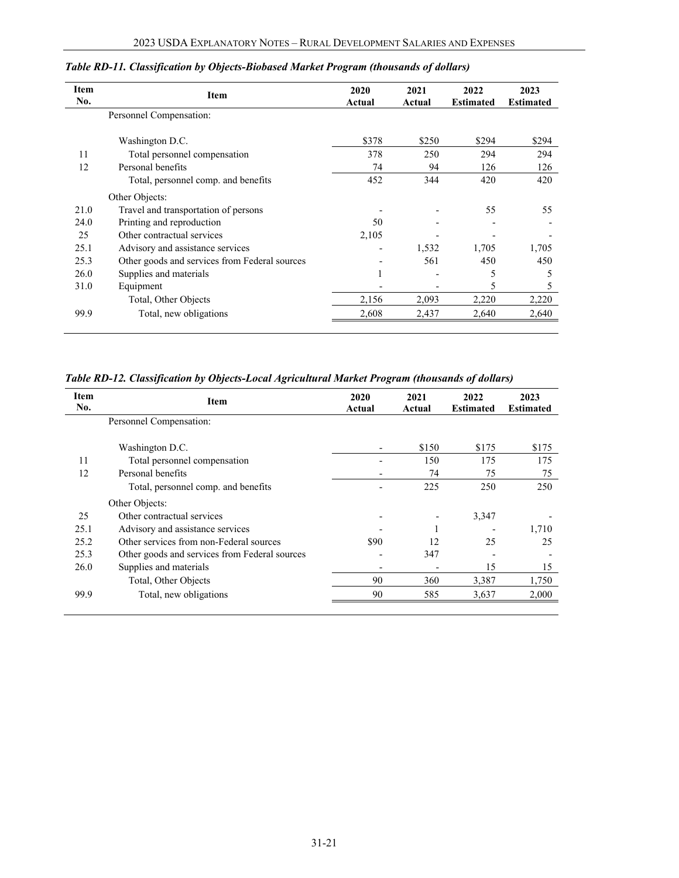| Item<br>No. | <b>Item</b>                                   | 2020<br>Actual | 2021<br>Actual | 2022<br><b>Estimated</b> | 2023<br><b>Estimated</b> |
|-------------|-----------------------------------------------|----------------|----------------|--------------------------|--------------------------|
|             | Personnel Compensation:                       |                |                |                          |                          |
|             | Washington D.C.                               | \$378          | \$250          | \$294                    | \$294                    |
| 11          | Total personnel compensation                  | 378            | 250            | 294                      | 294                      |
| 12          | Personal benefits                             | 74             | 94             | 126                      | 126                      |
|             | Total, personnel comp. and benefits           | 452            | 344            | 420                      | 420                      |
|             | Other Objects:                                |                |                |                          |                          |
| 21.0        | Travel and transportation of persons          |                |                | 55                       | 55                       |
| 24.0        | Printing and reproduction                     | 50             |                |                          |                          |
| 25          | Other contractual services                    | 2,105          |                |                          |                          |
| 25.1        | Advisory and assistance services              |                | 1,532          | 1,705                    | 1,705                    |
| 25.3        | Other goods and services from Federal sources |                | 561            | 450                      | 450                      |
| 26.0        | Supplies and materials                        |                |                | 5                        | 5                        |
| 31.0        | Equipment                                     |                |                | 5                        | 5                        |
|             | Total, Other Objects                          | 2,156          | 2,093          | 2,220                    | 2,220                    |
| 99.9        | Total, new obligations                        | 2,608          | 2,437          | 2,640                    | 2,640                    |
|             |                                               |                |                |                          |                          |

### *Table RD-11. Classification by Objects-Biobased Market Program (thousands of dollars)*

*Table RD-12. Classification by Objects-Local Agricultural Market Program (thousands of dollars)*

| Item<br>No. | Item                                          | 2020<br>Actual | 2021<br>Actual | 2022<br><b>Estimated</b> | 2023<br><b>Estimated</b> |
|-------------|-----------------------------------------------|----------------|----------------|--------------------------|--------------------------|
|             | Personnel Compensation:                       |                |                |                          |                          |
|             | Washington D.C.                               |                | \$150          | \$175                    | \$175                    |
| 11          | Total personnel compensation                  |                | 150            | 175                      | 175                      |
| 12          | Personal benefits                             |                | 74             | 75                       | 75                       |
|             | Total, personnel comp. and benefits           |                | 225            | 250                      | 250                      |
|             | Other Objects:                                |                |                |                          |                          |
| 25          | Other contractual services                    |                |                | 3,347                    |                          |
| 25.1        | Advisory and assistance services              |                |                |                          | 1,710                    |
| 25.2        | Other services from non-Federal sources       | \$90           | 12             | 25                       | 25                       |
| 25.3        | Other goods and services from Federal sources |                | 347            |                          |                          |
| 26.0        | Supplies and materials                        |                |                | 15                       | 15                       |
|             | Total, Other Objects                          | 90             | 360            | 3,387                    | 1,750                    |
| 99.9        | Total, new obligations                        | 90             | 585            | 3,637                    | 2,000                    |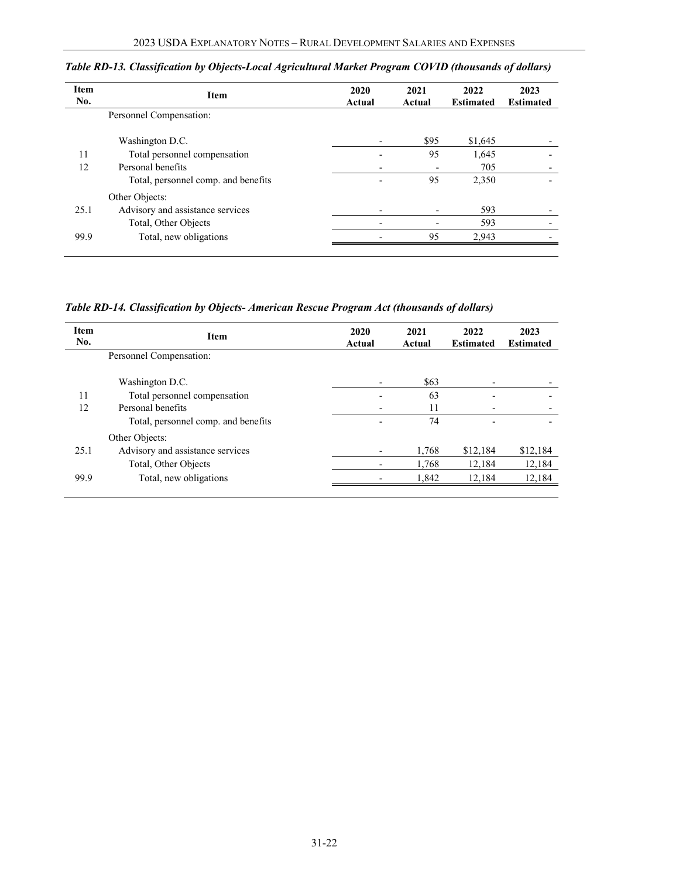| <b>Item</b><br>No. | Item                                | 2020<br>Actual | 2021<br>Actual | 2022<br><b>Estimated</b> | 2023<br><b>Estimated</b> |
|--------------------|-------------------------------------|----------------|----------------|--------------------------|--------------------------|
|                    | Personnel Compensation:             |                |                |                          |                          |
|                    | Washington D.C.                     |                | \$95           | \$1,645                  |                          |
| 11                 | Total personnel compensation        |                | 95             | 1,645                    |                          |
| 12                 | Personal benefits                   |                |                | 705                      |                          |
|                    | Total, personnel comp. and benefits |                | 95             | 2,350                    |                          |
|                    | Other Objects:                      |                |                |                          |                          |
| 25.1               | Advisory and assistance services    |                |                | 593                      |                          |
|                    | Total, Other Objects                |                |                | 593                      |                          |
| 99.9               | Total, new obligations              |                | 95             | 2,943                    |                          |
|                    |                                     |                |                |                          |                          |

*Table RD-13. Classification by Objects-Local Agricultural Market Program COVID (thousands of dollars)*

*Table RD-14. Classification by Objects- American Rescue Program Act (thousands of dollars)*

| <b>Item</b><br>No. | <b>Item</b>                         | 2020<br>Actual | 2021<br>Actual | 2022<br><b>Estimated</b> | 2023<br><b>Estimated</b> |
|--------------------|-------------------------------------|----------------|----------------|--------------------------|--------------------------|
|                    | Personnel Compensation:             |                |                |                          |                          |
|                    | Washington D.C.                     |                | \$63           |                          |                          |
| 11                 | Total personnel compensation        |                | 63             |                          |                          |
| 12                 | Personal benefits                   |                | 11             |                          |                          |
|                    | Total, personnel comp. and benefits |                | 74             |                          |                          |
|                    | Other Objects:                      |                |                |                          |                          |
| 25.1               | Advisory and assistance services    |                | 1,768          | \$12,184                 | \$12,184                 |
|                    | Total, Other Objects                |                | 1,768          | 12,184                   | 12,184                   |
| 99.9               | Total, new obligations              |                | 1,842          | 12,184                   | 12,184                   |
|                    |                                     |                |                |                          |                          |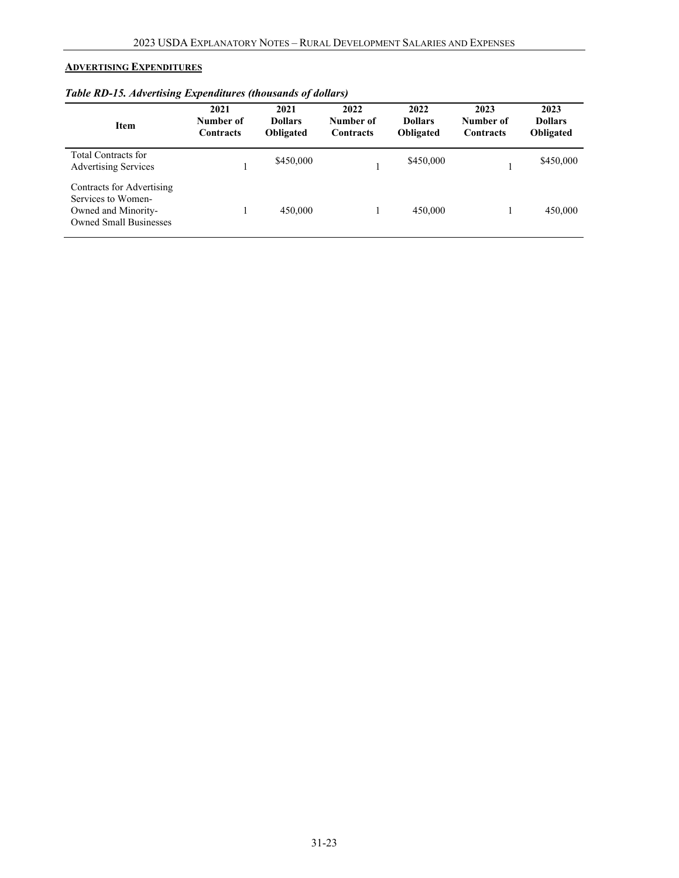# <span id="page-22-0"></span>**ADVERTISING EXPENDITURES**

| <b>Item</b>                                                                                             | 2021<br>Number of<br>Contracts | 2021<br><b>Dollars</b><br><b>Obligated</b> | 2022<br>Number of<br><b>Contracts</b> | 2022<br><b>Dollars</b><br><b>Obligated</b> | 2023<br>Number of<br><b>Contracts</b> | 2023<br><b>Dollars</b><br>Obligated |
|---------------------------------------------------------------------------------------------------------|--------------------------------|--------------------------------------------|---------------------------------------|--------------------------------------------|---------------------------------------|-------------------------------------|
| Total Contracts for<br><b>Advertising Services</b>                                                      |                                | \$450,000                                  |                                       | \$450,000                                  |                                       | \$450,000                           |
| Contracts for Advertising<br>Services to Women-<br>Owned and Minority-<br><b>Owned Small Businesses</b> |                                | 450,000                                    |                                       | 450,000                                    |                                       | 450,000                             |

# *Table RD-15. Advertising Expenditures (thousands of dollars)*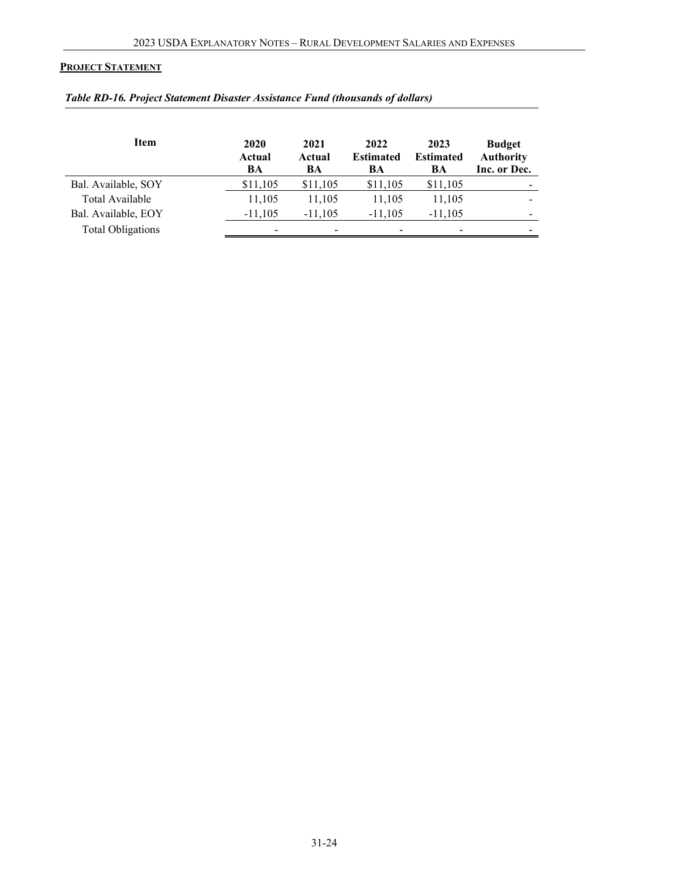### <span id="page-23-0"></span>**PROJECT STATEMENT**

| <b>Item</b>              | 2020<br>Actual<br>BA     | 2021<br>Actual<br>BA | 2022<br><b>Estimated</b><br>BA | 2023<br><b>Estimated</b><br>BA | <b>Budget</b><br><b>Authority</b><br>Inc. or Dec. |
|--------------------------|--------------------------|----------------------|--------------------------------|--------------------------------|---------------------------------------------------|
| Bal. Available, SOY      | \$11,105                 | \$11,105             | \$11,105                       | \$11,105                       |                                                   |
| Total Available          | 11,105                   | 11,105               | 11,105                         | 11,105                         |                                                   |
| Bal. Available, EOY      | $-11,105$                | $-11,105$            | $-11,105$                      | $-11,105$                      |                                                   |
| <b>Total Obligations</b> | $\overline{\phantom{0}}$ |                      |                                |                                |                                                   |

### *Table RD-16. Project Statement Disaster Assistance Fund (thousands of dollars)*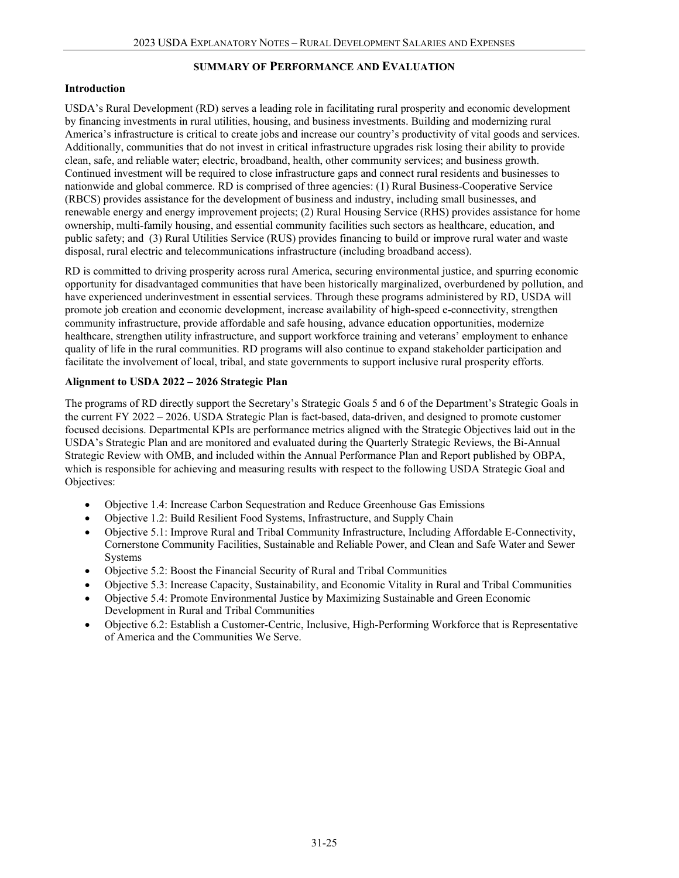### **SUMMARY OF PERFORMANCE AND EVALUATION**

### **Introduction**

USDA's Rural Development (RD) serves a leading role in facilitating rural prosperity and economic development by financing investments in rural utilities, housing, and business investments. Building and modernizing rural America's infrastructure is critical to create jobs and increase our country's productivity of vital goods and services. Additionally, communities that do not invest in critical infrastructure upgrades risk losing their ability to provide clean, safe, and reliable water; electric, broadband, health, other community services; and business growth. Continued investment will be required to close infrastructure gaps and connect rural residents and businesses to nationwide and global commerce. RD is comprised of three agencies: (1) Rural Business-Cooperative Service (RBCS) provides assistance for the development of business and industry, including small businesses, and renewable energy and energy improvement projects; (2) Rural Housing Service (RHS) provides assistance for home ownership, multi-family housing, and essential community facilities such sectors as healthcare, education, and public safety; and (3) Rural Utilities Service (RUS) provides financing to build or improve rural water and waste disposal, rural electric and telecommunications infrastructure (including broadband access).

RD is committed to driving prosperity across rural America, securing environmental justice, and spurring economic opportunity for disadvantaged communities that have been historically marginalized, overburdened by pollution, and have experienced underinvestment in essential services. Through these programs administered by RD, USDA will promote job creation and economic development, increase availability of high-speed e-connectivity, strengthen community infrastructure, provide affordable and safe housing, advance education opportunities, modernize healthcare, strengthen utility infrastructure, and support workforce training and veterans' employment to enhance quality of life in the rural communities. RD programs will also continue to expand stakeholder participation and facilitate the involvement of local, tribal, and state governments to support inclusive rural prosperity efforts.

### **Alignment to USDA 2022 – 2026 Strategic Plan**

The programs of RD directly support the Secretary's Strategic Goals 5 and 6 of the Department's Strategic Goals in the current FY 2022 – 2026. USDA Strategic Plan is fact-based, data-driven, and designed to promote customer focused decisions. Departmental KPIs are performance metrics aligned with the Strategic Objectives laid out in the USDA's Strategic Plan and are monitored and evaluated during the Quarterly Strategic Reviews, the Bi-Annual Strategic Review with OMB, and included within the Annual Performance Plan and Report published by OBPA, which is responsible for achieving and measuring results with respect to the following USDA Strategic Goal and Objectives:

- Objective 1.4: Increase Carbon Sequestration and Reduce Greenhouse Gas Emissions
- Objective 1.2: Build Resilient Food Systems, Infrastructure, and Supply Chain
- Objective 5.1: Improve Rural and Tribal Community Infrastructure, Including Affordable E-Connectivity, Cornerstone Community Facilities, Sustainable and Reliable Power, and Clean and Safe Water and Sewer Systems
- Objective 5.2: Boost the Financial Security of Rural and Tribal Communities
- Objective 5.3: Increase Capacity, Sustainability, and Economic Vitality in Rural and Tribal Communities
- Objective 5.4: Promote Environmental Justice by Maximizing Sustainable and Green Economic Development in Rural and Tribal Communities
- Objective 6.2: Establish a Customer-Centric, Inclusive, High-Performing Workforce that is Representative of America and the Communities We Serve.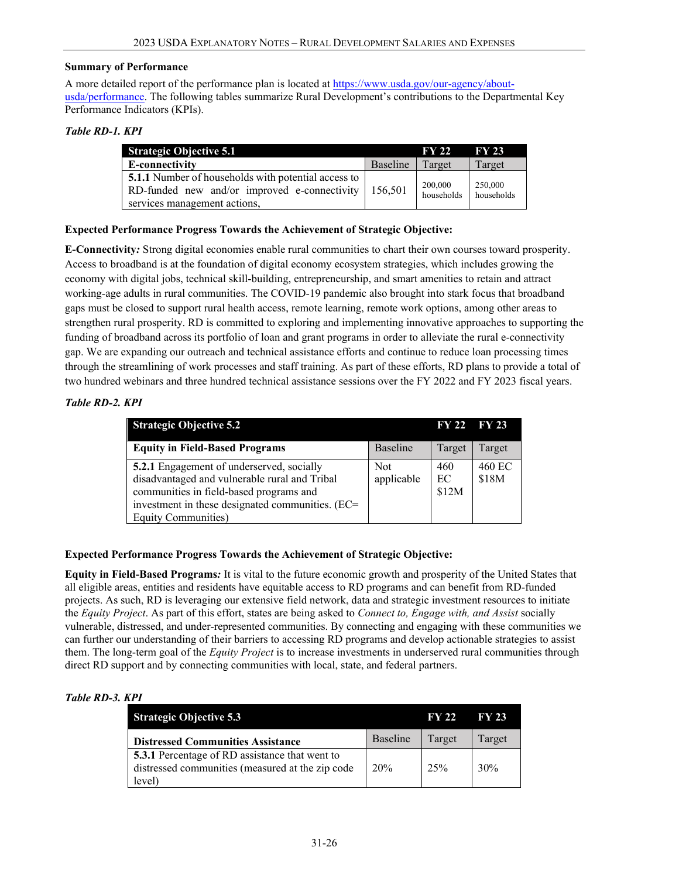#### <span id="page-25-0"></span>**Summary of Performance**

A more detailed report of the performance plan is located at [https://www.usda.gov/our-agency/about](https://www.usda.gov/our-agency/about-usda/performance)[usda/performance.](https://www.usda.gov/our-agency/about-usda/performance) The following tables summarize Rural Development's contributions to the Departmental Key Performance Indicators (KPIs).

### *Table RD-1. KPI*

| <b>Strategic Objective 5.1</b>                                                                                                                           |          | <b>FY 22</b>          | <b>FY 23</b>          |
|----------------------------------------------------------------------------------------------------------------------------------------------------------|----------|-----------------------|-----------------------|
| E-connectivity                                                                                                                                           | Baseline | Target                | Target                |
| <b>5.1.1</b> Number of households with potential access to  <br>RD-funded new and/or improved e-connectivity   $156,501$<br>services management actions, |          | 200,000<br>households | 250,000<br>households |

### **Expected Performance Progress Towards the Achievement of Strategic Objective:**

**E-Connectivity***:* Strong digital economies enable rural communities to chart their own courses toward prosperity. Access to broadband is at the foundation of digital economy ecosystem strategies, which includes growing the economy with digital jobs, technical skill-building, entrepreneurship, and smart amenities to retain and attract working-age adults in rural communities. The COVID-19 pandemic also brought into stark focus that broadband gaps must be closed to support rural health access, remote learning, remote work options, among other areas to strengthen rural prosperity. RD is committed to exploring and implementing innovative approaches to supporting the funding of broadband across its portfolio of loan and grant programs in order to alleviate the rural e-connectivity gap. We are expanding our outreach and technical assistance efforts and continue to reduce loan processing times through the streamlining of work processes and staff training. As part of these efforts, RD plans to provide a total of two hundred webinars and three hundred technical assistance sessions over the FY 2022 and FY 2023 fiscal years.

### *Table RD-2. KPI*

| <b>Strategic Objective 5.2</b>                                                                                                                                                                                          |                   | <b>FY 22</b>       | <b>FY 23</b>    |
|-------------------------------------------------------------------------------------------------------------------------------------------------------------------------------------------------------------------------|-------------------|--------------------|-----------------|
| <b>Equity in Field-Based Programs</b>                                                                                                                                                                                   | Baseline          | Target             | Target          |
| <b>5.2.1</b> Engagement of underserved, socially<br>disadvantaged and vulnerable rural and Tribal<br>communities in field-based programs and<br>investment in these designated communities. (EC=<br>Equity Communities) | Not<br>applicable | 460<br>EC<br>\$12M | 460 EC<br>\$18M |

### **Expected Performance Progress Towards the Achievement of Strategic Objective:**

**Equity in Field-Based Programs***:* It is vital to the future economic growth and prosperity of the United States that all eligible areas, entities and residents have equitable access to RD programs and can benefit from RD-funded projects. As such, RD is leveraging our extensive field network, data and strategic investment resources to initiate the *Equity Project*. As part of this effort, states are being asked to *Connect to, Engage with, and Assist* socially vulnerable, distressed, and under-represented communities. By connecting and engaging with these communities we can further our understanding of their barriers to accessing RD programs and develop actionable strategies to assist them. The long-term goal of the *Equity Project* is to increase investments in underserved rural communities through direct RD support and by connecting communities with local, state, and federal partners.

### *Table RD-3. KPI*

| <b>Strategic Objective 5.3</b>                                                                                      |          | <b>FY 22</b> | <b>FY 23</b> |
|---------------------------------------------------------------------------------------------------------------------|----------|--------------|--------------|
| <b>Distressed Communities Assistance</b>                                                                            | Baseline | Target       | Target       |
| <b>5.3.1</b> Percentage of RD assistance that went to<br>distressed communities (measured at the zip code<br>level) | 20%      | 2.5%         | 30%          |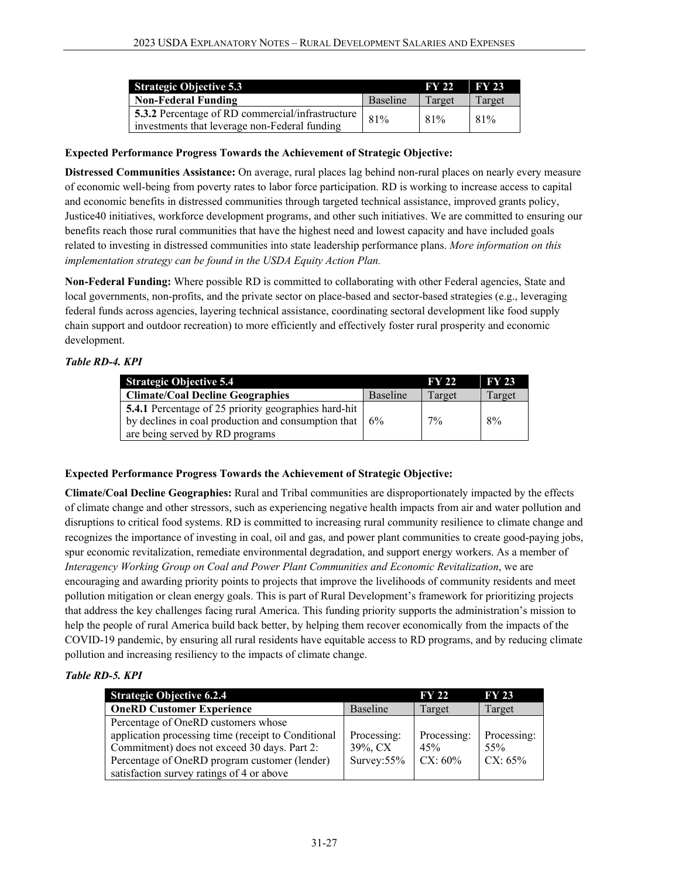| <b>Strategic Objective 5.3</b>                                                                           |          | <b>FY 22</b> | <b>FY 23</b> |
|----------------------------------------------------------------------------------------------------------|----------|--------------|--------------|
| <b>Non-Federal Funding</b>                                                                               | Baseline | Target       | Target       |
| <b>5.3.2</b> Percentage of RD commercial/infrastructure<br>investments that leverage non-Federal funding | 81%      | 81%          | 81%          |

### **Expected Performance Progress Towards the Achievement of Strategic Objective:**

**Distressed Communities Assistance:** On average, rural places lag behind non-rural places on nearly every measure of economic well-being from poverty rates to labor force participation. RD is working to increase access to capital and economic benefits in distressed communities through targeted technical assistance, improved grants policy, Justice40 initiatives, workforce development programs, and other such initiatives. We are committed to ensuring our benefits reach those rural communities that have the highest need and lowest capacity and have included goals related to investing in distressed communities into state leadership performance plans. *More information on this implementation strategy can be found in the USDA Equity Action Plan.*

**Non-Federal Funding:** Where possible RD is committed to collaborating with other Federal agencies, State and local governments, non-profits, and the private sector on place-based and sector-based strategies (e.g., leveraging federal funds across agencies, layering technical assistance, coordinating sectoral development like food supply chain support and outdoor recreation) to more efficiently and effectively foster rural prosperity and economic development.

### *Table RD-4. KPI*

| <b>Strategic Objective 5.4</b>                                          |          | <b>FY 22</b> | <b>FY 23</b> |
|-------------------------------------------------------------------------|----------|--------------|--------------|
| <b>Climate/Coal Decline Geographies</b>                                 | Baseline | Target       | Target       |
| <b>5.4.1</b> Percentage of 25 priority geographies hard-hit             |          |              |              |
| by declines in coal production and consumption that $\vert 6\% \rangle$ |          | $7\%$        | 8%           |
| are being served by RD programs                                         |          |              |              |

### **Expected Performance Progress Towards the Achievement of Strategic Objective:**

**Climate/Coal Decline Geographies:** Rural and Tribal communities are disproportionately impacted by the effects of climate change and other stressors, such as experiencing negative health impacts from air and water pollution and disruptions to critical food systems. RD is committed to increasing rural community resilience to climate change and recognizes the importance of investing in coal, oil and gas, and power plant communities to create good-paying jobs, spur economic revitalization, remediate environmental degradation, and support energy workers. As a member of *Interagency Working Group on Coal and Power Plant Communities and Economic Revitalization*, we are encouraging and awarding priority points to projects that improve the livelihoods of community residents and meet pollution mitigation or clean energy goals. This is part of Rural Development's framework for prioritizing projects that address the key challenges facing rural America. This funding priority supports the administration's mission to help the people of rural America build back better, by helping them recover economically from the impacts of the COVID-19 pandemic, by ensuring all rural residents have equitable access to RD programs, and by reducing climate pollution and increasing resiliency to the impacts of climate change.

### *Table RD-5. KPI*

| <b>Strategic Objective 6.2.4</b>                    |                | <b>FY 22</b> | <b>FY 23</b> |
|-----------------------------------------------------|----------------|--------------|--------------|
| <b>OneRD Customer Experience</b>                    | Baseline       | Target       | Target       |
| Percentage of OneRD customers whose                 |                |              |              |
| application processing time (receipt to Conditional | Processing:    | Processing:  | Processing:  |
| Commitment) does not exceed 30 days. Part 2:        | 39%, CX        | 45%          | 55%          |
| Percentage of OneRD program customer (lender)       | Survey: $55\%$ | $CX: 60\%$   | $CX: 65\%$   |
| satisfaction survey ratings of 4 or above           |                |              |              |